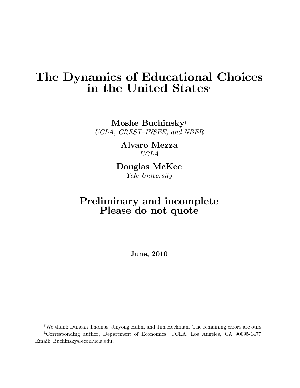# The Dynamics of Educational Choices in the United States†

Moshe Buchinsky‡ UCLA, CREST—INSEE, and NBER

> Alvaro Mezza UCLA

Douglas McKee Yale University

# Preliminary and incomplete Please do not quote

June, 2010

<sup>†</sup> We thank Duncan Thomas, Jinyong Hahn, and Jim Heckman. The remaining errors are ours.

<sup>‡</sup> Corresponding author, Department of Economics, UCLA, Los Angeles, CA 90095-1477. Email: Buchinsky@econ.ucla.edu.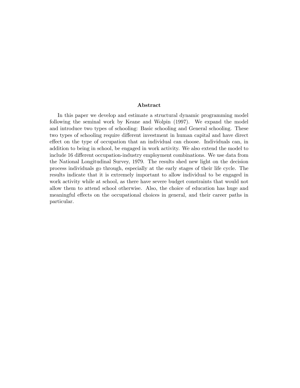#### Abstract

In this paper we develop and estimate a structural dynamic programming model following the seminal work by Keane and Wolpin (1997). We expand the model and introduce two types of schooling: Basic schooling and General schooling. These two types of schooling require different investment in human capital and have direct effect on the type of occupation that an individual can choose. Individuals can, in addition to being in school, be engaged in work activity. We also extend the model to include 16 different occupation-industry employment combinations. We use data from the National Longitudinal Survey, 1979. The results shed new light on the decision process individuals go through, especially at the early stages of their life cycle. The results indicate that it is extremely important to allow individual to be engaged in work activity while at school, as there have severe budget constraints that would not allow them to attend school otherwise. Also, the choice of education has huge and meaningful effects on the occupational choices in general, and their career paths in particular.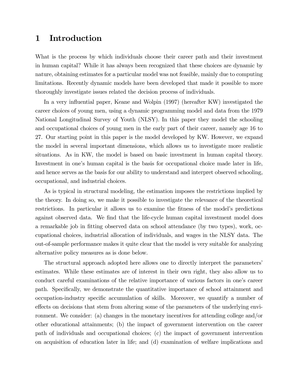# 1 Introduction

What is the process by which individuals choose their career path and their investment in human capital? While it has always been recognized that these choices are dynamic by nature, obtaining estimates for a particular model was not feasible, mainly due to computing limitations. Recently dynamic models have been developed that made it possible to more thoroughly investigate issues related the decision process of individuals.

In a very influential paper, Keane and Wolpin (1997) (hereafter KW) investigated the career choices of young men, using a dynamic programming model and data from the 1979 National Longitudinal Survey of Youth (NLSY). In this paper they model the schooling and occupational choices of young men in the early part of their career, namely age 16 to 27. Our starting point in this paper is the model developed by KW. However, we expand the model in several important dimensions, which allows us to investigate more realistic situations. As in KW, the model is based on basic investment in human capital theory. Investment in one's human capital is the basis for occupational choice made later in life, and hence serves as the basis for our ability to understand and interpret observed schooling, occupational, and industrial choices.

As is typical in structural modeling, the estimation imposes the restrictions implied by the theory. In doing so, we make it possible to investigate the relevance of the theoretical restrictions. In particular it allows us to examine the fitness of the model's predictions against observed data. We find that the life-cycle human capital investment model does a remarkable job in fitting observed data on school attendance (by two types), work, occupational choices, industrial allocation of individuals, and wages in the NLSY data. The out-of-sample performance makes it quite clear that the model is very suitable for analyzing alternative policy measures as is done below.

The structural approach adopted here allows one to directly interpret the parameters' estimates. While these estimates are of interest in their own right, they also allow us to conduct careful examinations of the relative importance of various factors in one's career path. Specifically, we demonstrate the quantitative importance of school attainment and occupation-industry specific accumulation of skills. Moreover, we quantify a number of effects on decisions that stem from altering some of the parameters of the underlying environment. We consider: (a) changes in the monetary incentives for attending college and/or other educational attainments; (b) the impact of government intervention on the career path of individuals and occupational choices; (c) the impact of government intervention on acquisition of education later in life; and (d) examination of welfare implications and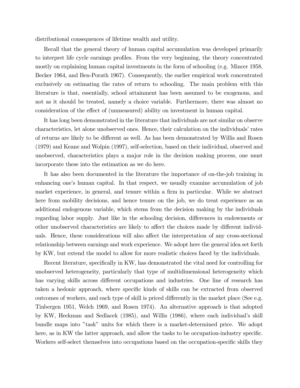distributional consequences of lifetime wealth and utility.

Recall that the general theory of human capital accumulation was developed primarily to interpret life cycle earnings profiles. From the very beginning, the theory concentrated mostly on explaining human capital investments in the form of schooling (e.g. Mincer 1958, Becker 1964, and Ben-Porath 1967). Consequently, the earlier empirical work concentrated exclusively on estimating the rates of return to schooling. The main problem with this literature is that, essentially, school attainment has been assumed to be exogenous, and not as it should be treated, namely a choice variable. Furthermore, there was almost no consideration of the effect of (unmeasured) ability on investment in human capital.

It has long been demonstrated in the literature that individuals are not similar on observe characteristics, let alone unobserved ones. Hence, their calculation on the individuals' rates of returns are likely to be different as well. As has been demonstrated by Willis and Rosen (1979) and Keane and Wolpin (1997), self-selection, based on their individual, observed and unobserved, characteristics plays a major role in the decision making process, one must incorporate these into the estimation as we do here.

It has also been documented in the literature the importance of on-the-job training in enhancing one's human capital. In that respect, we usually examine accumulation of job market experience, in general, and tenure within a firm in particular. While we abstract here from mobility decisions, and hence tenure on the job, we do treat experience as an additional endogenous variable, which stems from the decision making by the individuals regarding labor supply. Just like in the schooling decision, differences in endowments or other unobserved characteristics are likely to affect the choices made by different individuals. Hence, these considerations will also affect the interpretation of any cross-sectional relationship between earnings and work experience. We adopt here the general idea set forth by KW, but extend the model to allow for more realistic choices faced by the individuals.

Recent literature, specifically in KW, has demonstrated the vital need for controlling for unobserved heterogeneity, particularly that type of multidimensional heterogeneity which has varying skills across different occupations and industries. One line of research has taken a hedonic approach, where specific kinds of skills can be extracted from observed outcomes of workers, and each type of skill is priced differently in the market place (See e.g. Tinbergen 1951, Welch 1969, and Rosen 1974). An alternative approach is that adopted by KW, Heckman and Sedlacek (1985), and Willis (1986), where each individual's skill bundle maps into "task" units for which there is a market-determined price. We adopt here, as in KW the latter approach, and allow the tasks to be occupation-industry specific. Workers self-select themselves into occupations based on the occupation-specific skills they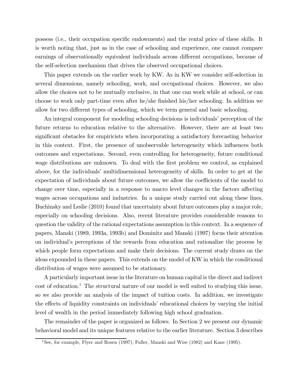possess (i.e., their occupation specific endowments) and the rental price of these skills. It is worth noting that, just as in the case of schooling and experience, one cannot compare earnings of observationally equivalent individuals across different occupations, because of the self-selection mechanism that drives the observed occupational choices.

This paper extends on the earlier work by KW. As in KW we consider self-selection in several dimensions, namely schooling, work, and occupational choices. However, we also allow the choices not to be mutually exclusive, in that one can work while at school, or can choose to work only part-time even after he/she finished his/her schooling. In addition we allow for two different types of schooling, which we term general and basic schooling.

An integral component for modeling schooling decisions is individuals' perception of the future returns to education relative to the alternative. However, there are at least two significant obstacles for empiricists when incorporating a satisfactory forecasting behavior in this context. First, the presence of unobservable heterogeneity which influences both outcomes and expectations. Second, even controlling for heterogeneity, future conditional wage distributions are unknown. To deal with the first problem we control, as explained above, for the individuals' multidimensional heterogeneity of skills. In order to get at the expectation of individuals about future outcomes, we allow the coefficients of the model to change over time, especially in a response to macro level changes in the factors affecting wages across occupations and industries. In a unique study carried out along these lines, Buchinsky and Leslie (2010) found that uncertainty about future outcomes play a major role, especially on schooling decisions. Also, recent literature provides considerable reasons to question the validity of the rational expectations assumption in this context. In a sequence of papers, Manski (1989, 1993a, 1993b) and Dominitz and Manski (1997) focus their attention on individual's perceptions of the rewards from education and rationalize the process by which people form expectations and make their decisions. The current study draws on the ideas expounded in these papers. This extends on the model of KW in which the conditional distribution of wages were assumed to be stationary.

A particularly important issue in the literature on human capital is the direct and indirect  $\cot$  of education.<sup>1</sup> The structural nature of our model is well suited to studying this issue, so we also provide an analysis of the impact of tuition costs. In addition, we investigate the effects of liquidity constraints on individuals' educational choices by varying the initial level of wealth in the period immediately following high school graduation.

The remainder of the paper is organized as follows. In Section 2 we present our dynamic behavioral model and its unique features relative to the earlier literature. Section 3 describes

<sup>1</sup>See, for example, Flyer and Rosen (1997), Fuller, Manski and Wise (1982) and Kane (1995).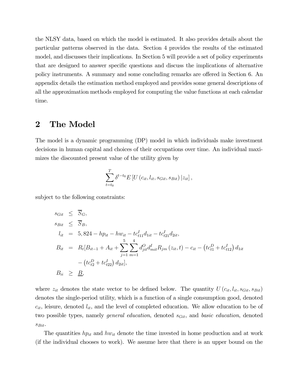the NLSY data, based on which the model is estimated. It also provides details about the particular patterns observed in the data. Section 4 provides the results of the estimated model, and discusses their implications. In Section 5 will provide a set of policy experiments that are designed to answer specific questions and discuss the implications of alternative policy instruments. A summary and some concluding remarks are offered in Section 6. An appendix details the estimation method employed and provides some general descriptions of all the approximation methods employed for computing the value functions at each calendar time.

# 2 The Model

The model is a dynamic programming (DP) model in which individuals make investment decisions in human capital and choices of their occupations over time. An individual maximizes the discounted present value of the utility given by

$$
\sum_{t=t_0}^T \delta^{t-t_0} E\left[U\left(c_{it}, l_{it}, s_{Git}, s_{Bit}\right) | z_{it}\right],
$$

subject to the following constraints:

$$
s_{Git} \leq \overline{S}_G,
$$
  
\n
$$
s_{Bit} \leq \overline{S}_B,
$$
  
\n
$$
l_{it} = 5,824 - hp_{it} - hw_{it} - tc_{t11}^I d_{1it} - tc_{t21}^I d_{2it},
$$
  
\n
$$
B_{it} = R_t[B_{it-1} + A_{it} + \sum_{j=1}^5 \sum_{m=1}^4 d_{jit}^O d_{mi}^I R_{jm}(z_{it}, t) - c_{it} - (tc_{t1}^D + tc_{t12}^I) d_{1it}
$$
  
\n
$$
- (tc_{t2}^D + tc_{t22}^I) d_{2it}],
$$
  
\n
$$
B_{ii} \geq \underline{B},
$$

where  $z_{it}$  denotes the state vector to be defined below. The quantity  $U(c_{it}, l_{it}, s_{Git}, s_{Bit})$ denotes the single-period utility, which is a function of a single consumption good, denoted  $c_{it}$ , leisure, denoted  $l_{it}$ , and the level of completed education. We allow education to be of two possible types, namely *general education*, denoted  $s_{Git}$ , and *basic education*, denoted  $s_{Bit}$ .

The quantities  $hp_{it}$  and  $hw_{it}$  denote the time invested in home production and at work (if the individual chooses to work). We assume here that there is an upper bound on the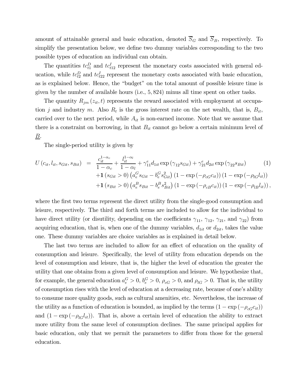amount of attainable general and basic education, denoted  $\overline{S}_G$  and  $\overline{S}_B$ , respectively. To simplify the presentation below, we define two dummy variables corresponding to the two possible types of education an individual can obtain.

The quantities  $tc_{t1}^D$  and  $tc_{t12}^I$  represent the monetary costs associated with general education, while  $tc_{t2}^D$  and  $tc_{t22}^I$  represent the monetary costs associated with basic education, as is explained below. Hence, the "budget" on the total amount of possible leisure time is given by the number of available hours (i.e., 5, 824) minus all time spent on other tasks.

The quantity  $R_{jm} (z_{it}, t)$  represents the reward associated with employment at occupation j and industry m. Also  $R_t$  is the gross interest rate on the net wealth, that is,  $B_{it}$ , carried over to the next period, while  $A_{it}$  is non-earned income. Note that we assume that there is a constraint on borrowing, in that  $B_{it}$  cannot go below a certain minimum level of B.

The single-period utility is given by

$$
U(c_{it}, l_{it}, s_{Git}, s_{Bit}) = \frac{c_{it}^{1-\alpha_c}}{1-\alpha_c} + \frac{l_{it}^{1-\alpha_l}}{1-\alpha_l} + \gamma_{11}^e d_{1it} \exp(\gamma_{12} s_{Git}) + \gamma_{21}^e d_{2it} \exp(\gamma_{22} s_{Bit}) \qquad (1)
$$

$$
+ \mathbf{1} (s_{Git} > 0) (a_e^G s_{Git} - b_e^G s_{Git}^2) (1 - \exp(-\rho_{cG} c_{it})) (1 - \exp(-\rho_{lG} l_{it}))
$$

$$
+ \mathbf{1} (s_{Bit} > 0) (a_e^B s_{Bit} - b_e^B s_{Bit}^2) (1 - \exp(-\rho_{cB} c_{it})) (1 - \exp(-\rho_{lB} l_{it})),
$$

where the first two terms represent the direct utility from the single-good consumption and leisure, respectively. The third and forth terms are included to allow for the individual to have direct utility (or disutility, depending on the coefficients  $\gamma_{11}$ ,  $\gamma_{12}$ ,  $\gamma_{21}$ , and  $\gamma_{22}$ ) from acquiring education, that is, when one of the dummy variables,  $d_{1it}$  or  $d_{2it}$ , takes the value one. These dummy variables are choice variables as is explained in detail below.

The last two terms are included to allow for an effect of education on the quality of consumption and leisure. Specifically, the level of utility from education depends on the level of consumption and leisure, that is, the higher the level of education the greater the utility that one obtains from a given level of consumption and leisure. We hypothesize that, for example, the general education  $a_e^G > 0$ ,  $b_e^G > 0$ ,  $\rho_{cG} > 0$ , and  $\rho_{lG} > 0$ . That is, the utility of consumption rises with the level of education at a decreasing rate, because of one's ability to consume more quality goods, such as cultural amenities, etc. Nevertheless, the increase of the utility as a function of education is bounded, as implied by the terms  $(1 - \exp(-\rho_{cG}c_{it}))$ and  $(1 - \exp(-\rho_{lG}l_{it}))$ . That is, above a certain level of education the ability to extract more utility from the same level of consumption declines. The same principal applies for basic education, only that we permit the parameters to differ from those for the general education.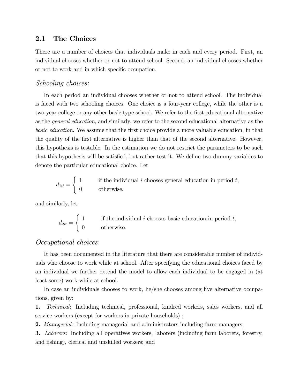## 2.1 The Choices

There are a number of choices that individuals make in each and every period. First, an individual chooses whether or not to attend school. Second, an individual chooses whether or not to work and in which specific occupation.

### Schooling choices:

In each period an individual chooses whether or not to attend school. The individual is faced with two schooling choices. One choice is a four-year college, while the other is a two-year college or any other basic type school. We refer to the first educational alternative as the general education, and similarly, we refer to the second educational alternative as the basic education. We assume that the first choice provide a more valuable education, in that the quality of the first alternative is higher than that of the second alternative. However, this hypothesis is testable. In the estimation we do not restrict the parameters to be such that this hypothesis will be satisfied, but rather test it. We define two dummy variables to denote the particular educational choice. Let

$$
d_{1it} = \begin{cases} 1 & \text{if the individual } i \text{ chooses general education in period } t, \\ 0 & \text{otherwise,} \end{cases}
$$

and similarly, let

$$
d_{2it} = \begin{cases} 1 & \text{if the individual } i \text{ chooses basic education in period } t, \\ 0 & \text{otherwise.} \end{cases}
$$

#### Occupational choices:

It has been documented in the literature that there are considerable number of individuals who choose to work while at school. After specifying the educational choices faced by an individual we further extend the model to allow each individual to be engaged in (at least some) work while at school.

In case an individuals chooses to work, he/she chooses among five alternative occupations, given by:

1. Technical: Including technical, professional, kindred workers, sales workers, and all service workers (except for workers in private households) ;

2. *Managerial*: Including managerial and administrators including farm managers;

3. Laborers: Including all operatives workers, laborers (including farm laborers, forestry, and fishing), clerical and unskilled workers; and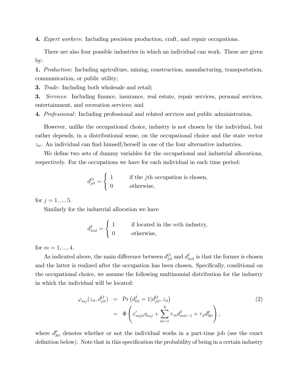4. Expert workers: Including precision production, craft, and repair occupations.

There are also four possible industries in which an individual can work. These are given by:

1. Production: Including agriculture, mining, construction, manufacturing, transportation, communication, or public utility;

3. Trade: Including both wholesale and retail;

3. Services: Including finance, insurance, real estate, repair services, personal services, entertainment, and recreation services; and

4. Professional: Including professional and related services and public administration.

However, unlike the occupational choice, industry is not chosen by the individual, but rather depends, in a distributional sense, on the occupational choice and the state vector  $z_{it}$ . An individual can find himself/herself in one of the four alternative industries.

We define two sets of dummy variables for the occupational and industrial allocations, respectively. For the occupations we have for each individual in each time period:

$$
d_{jit}^O = \begin{cases} 1 & \text{if the } j\text{th occupation is chosen,} \\ 0 & \text{otherwise,} \end{cases}
$$

for  $j = 1, ..., 5$ .

Similarly for the industrial allocation we have

$$
d_{mit}^I = \begin{cases} 1 & \text{if located in the } m\text{th industry,} \\ 0 & \text{otherwise,} \end{cases}
$$

for  $m = 1, ..., 4$ .

As indicated above, the main difference between  $d_{jit}^O$  and  $d_{mit}^I$  is that the former is chosen and the latter is realized after the occupation has been chosen. Specifically, conditional on the occupational choice, we assume the following multinomial distribution for the industry in which the individual will be located:

$$
\varphi_{mj}(z_{it}, d_{jit}^O) = \Pr\left(d_{lit}^I = 1 | d_{jit}^O, z_{it}\right) \n= \Phi\left(x'_{mjit}\eta_{mj} + \sum_{m=1}^4 \tau_m d_{mit-1}^I + \tau_p d_{3it}^p\right),
$$
\n(2)

where  $d_{3it}^p$  denotes whether or not the individual works in a part-time job (see the exact definition below). Note that in this specification the probability of being in a certain industry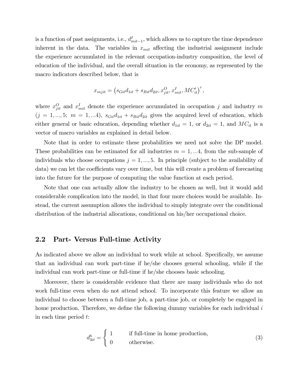is a function of past assignments, i.e.,  $d_{mit-1}^I$ , which allows us to capture the time dependence inherent in the data. The variables in  $x_{mit}$  affecting the industrial assignment include the experience accumulated in the relevant occupation-industry composition, the level of education of the individual, and the overall situation in the economy, as represented by the macro indicators described below, that is

$$
x_{mjit} = \left(s_{Git}d_{1it} + s_{Bit}d_{2it}, x_{jit}^O, x_{mit}^I, MC'_{it}\right)',
$$

where  $x_{jit}^O$  and  $x_{mit}^I$  denote the experience accumulated in occupation j and industry m  $(j = 1, ..., 5; m = 1, ... 4)$ ,  $s_{Git}d_{1it} + s_{Bit}d_{2it}$  gives the acquired level of education, which either general or basic education, depending whether  $d_{1it} = 1$ , or  $d_{2it} = 1$ , and  $MC_{it}$  is a vector of macro variables as explained in detail below.

Note that in order to estimate these probabilities we need not solve the DP model. These probabilities can be estimated for all industries  $m = 1, ...4$ , from the sub-sample of individuals who choose occupations  $j = 1, ..., 5$ . In principle (subject to the availability of data) we can let the coefficients vary over time, but this will create a problem of forecasting into the future for the purpose of computing the value function at each period.

Note that one can actually allow the industry to be chosen as well, but it would add considerable complication into the model, in that four more choices would be available. Instead, the current assumption allows the individual to simply integrate over the conditional distribution of the industrial allocations, conditional on his/her occupational choice.

### 2.2 Part- Versus Full-time Activity

As indicated above we allow an individual to work while at school. Specifically, we assume that an individual can work part-time if he/she chooses general schooling, while if the individual can work part-time or full-time if he/she chooses basic schooling.

Moreover, there is considerable evidence that there are many individuals who do not work full-time even when do not attend school. To incorporate this feature we allow an individual to choose between a full-time job, a part-time job, or completely be engaged in home production. Therefore, we define the following dummy variables for each individual i in each time period t:

$$
d_{3it}^h = \begin{cases} 1 & \text{if full-time in home production,} \\ 0 & \text{otherwise.} \end{cases} \tag{3}
$$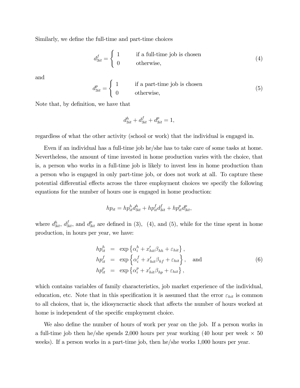Similarly, we define the full-time and part-time choices

$$
d_{3it}^f = \begin{cases} 1 & \text{if a full-time job is chosen} \\ 0 & \text{otherwise,} \end{cases}
$$
 (4)

and

$$
d_{3it}^p = \begin{cases} 1 & \text{if a part-time job is chosen} \\ 0 & \text{otherwise,} \end{cases} \tag{5}
$$

Note that, by definition, we have that

$$
d_{3it}^h + d_{3it}^f + d_{3it}^p = 1,
$$

regardless of what the other activity (school or work) that the individual is engaged in.

Even if an individual has a full-time job he/she has to take care of some tasks at home. Nevertheless, the amount of time invested in home production varies with the choice, that is, a person who works in a full-time job is likely to invest less in home production than a person who is engaged in only part-time job, or does not work at all. To capture these potential differential effects across the three employment choices we specify the following equations for the number of hours one is engaged in home production:

$$
hp_{it} = hp_{it}^h d_{3it}^h + hp_{it}^f d_{3it}^f + hp_{it}^p d_{3it}^p,
$$

where  $d_{3it}^h$ ,  $d_{3it}^f$ , and  $d_{3it}^p$  are defined in (3), (4), and (5), while for the time spent in home production, in hours per year, we have:

$$
hp_{it}^{h} = \exp \{ \alpha_i^h + x_{hit}' \beta_{hh} + \varepsilon_{hit} \},
$$
  
\n
$$
hp_{it}^{f} = \exp \{ \alpha_i^f + x_{hit}' \beta_{hf} + \varepsilon_{hit} \},
$$
 and  
\n
$$
hp_{it}^{p} = \exp \{ \alpha_i^p + x_{hit}' \beta_{hp} + \varepsilon_{hit} \},
$$
\n(6)

which contains variables of family characteristics, job market experience of the individual, education, etc. Note that in this specification it is assumed that the error  $\varepsilon_{hit}$  is common to all choices, that is, the idiosyncractic shock that affects the number of hours worked at home is independent of the specific employment choice.

We also define the number of hours of work per year on the job. If a person works in a full-time job then he/she spends 2,000 hours per year working (40 hour per week  $\times$  50 weeks). If a person works in a part-time job, then he/she works 1,000 hours per year.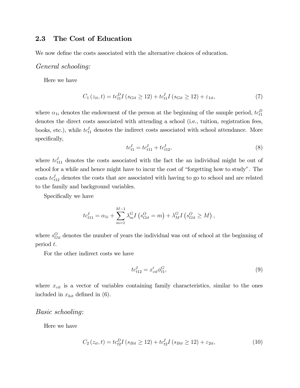## 2.3 The Cost of Education

We now define the costs associated with the alternative choices of education.

### General schooling:

Here we have

$$
C_1(z_{it}, t) = t c_{t1}^D I (s_{Git} \ge 12) + t c_{t1}^I I (s_{Git} \ge 12) + \varepsilon_{1it}, \tag{7}
$$

where  $\alpha_{1i}$  denotes the endowment of the person at the beginning of the sample period,  $tc_{t1}^D$ denotes the direct costs associated with attending a school (i.e., tuition, registration fees, books, etc.), while  $tc_{t1}^I$  denotes the indirect costs associated with school attendance. More specifically,

$$
tc_{t1}^I = tc_{t11}^I + tc_{t12}^I,
$$
\n(8)

where  $tc_{t11}^I$  denotes the costs associated with the fact the an individual might be out of school for a while and hence might have to incur the cost of "forgetting how to study". The  $\cos$ ts  $tc_{t12}^I$  denotes the costs that are associated with having to go to school and are related to the family and background variables.

Specifically we have

$$
tc_{t11}^I = \alpha_{1i} + \sum_{m=1}^{M-1} \lambda_m^G I(s_{Git}^O = m) + \lambda_M^G I(s_{Git}^O \ge M),
$$

where  $s_{Git}^O$  denotes the number of years the individual was out of school at the beginning of period t.

For the other indirect costs we have

$$
tc_{t12}^I = x'_{cit} \phi_{t1}^G,\tag{9}
$$

where  $x_{cit}$  is a vector of variables containing family characteristics, similar to the ones included in  $x_{hit}$  defined in (6).

#### Basic schooling:

Here we have

$$
C_2(z_{it}, t) = t c_{t2}^D I (s_{Bit} \ge 12) + t c_{t2}^I I (s_{Bit} \ge 12) + \varepsilon_{2it}, \tag{10}
$$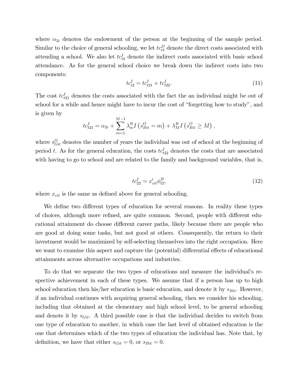where  $\alpha_{2i}$  denotes the endowment of the person at the beginning of the sample period. Similar to the choice of general schooling, we let  $tc_{t1}^D$  denote the direct costs associated with attending a school. We also let  $tc_{t2}^I$  denote the indirect costs associated with basic school attendance. As for the general school choice we break down the indirect costs into two components:

$$
tc_{t2}^I = tc_{t21}^I + tc_{t22}^I.
$$
\n(11)

The cost  $tc_{t21}^I$  denotes the costs associated with the fact the an individual might be out of school for a while and hence might have to incur the cost of "forgetting how to study", and is given by

$$
tc_{t21}^I = \alpha_{2i} + \sum_{m=1}^{M-1} \lambda_m^B I(s_{Bit}^O = m) + \lambda_M^B I(s_{Bit}^O \ge M),
$$

where  $s_{Git}^O$  denotes the number of years the individual was out of school at the beginning of period t. As for the general education, the costs  $tc_{t22}^I$  denotes the costs that are associated with having to go to school and are related to the family and background variables, that is,

$$
tc_{22}^I = x_{cit}^{\prime} \phi_{t2}^B,
$$
\n(12)

where  $x_{cit}$  is the same as defined above for general schooling.

We define two different types of education for several reasons. In reality these types of choices, although more refined, are quite common. Second, people with different educational attainment do choose different career paths, likely because there are people who are good at doing some tasks, but not good at others. Consequently, the return to their investment would be maximized by self-selecting themselves into the right occupation. Here we want to examine this aspect and capture the (potential) differential effects of educational attainments across alternative occupations and industries.

To do that we separate the two types of educations and measure the individual's respective achievement in each of these types. We assume that if a person has up to high school education then his/her education is basic education, and denote it by  $s_{Bit}$ . However, if an individual continues with acquiring general schooling, then we consider his schooling, including that obtained at the elementary and high school level, to be general schooling and denote it by  $s_{Git}$ . A third possible case is that the individual decides to switch from one type of education to another, in which case the last level of obtained education is the one that determines which of the two types of education the individual has. Note that, by definition, we have that either  $s_{Git} = 0$ , or  $s_{Bit} = 0$ .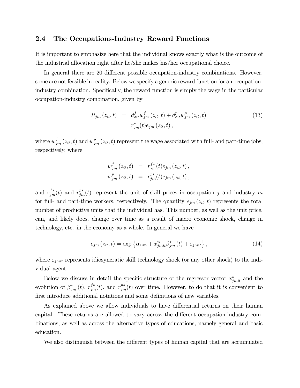### 2.4 The Occupations-Industry Reward Functions

It is important to emphasize here that the individual knows exactly what is the outcome of the industrial allocation right after he/she makes his/her occupational choice.

In general there are 20 different possible occupation-industry combinations. However, some are not feasible in reality. Below we specify a generic reward function for an occupationindustry combination. Specifically, the reward function is simply the wage in the particular occupation-industry combination, given by

$$
R_{jm}(z_{it}, t) = d_{3it}^{f} w_{jm}^{f}(z_{it}, t) + d_{3it}^{p} w_{jm}^{p}(z_{it}, t)
$$
  
=  $r_{jm}^{*}(t)e_{jm}(z_{it}, t)$ , (13)

where  $w_{jm}^{f}(z_{it},t)$  and  $w_{jm}^{p}(z_{it},t)$  represent the wage associated with full- and part-time jobs, respectively, where

$$
w_{jm}^f(z_{it}, t) = r_{jm}^{f*}(t)e_{jm}(z_{it}, t),
$$
  

$$
w_{jm}^p(z_{it}, t) = r_{jm}^{p*}(t)e_{jm}(z_{it}, t),
$$

and  $r_{jm}^{f*}(t)$  and  $r_{jm}^{p*}(t)$  represent the unit of skill prices in occupation j and industry m for full- and part-time workers, respectively. The quantity  $e_{jm}(z_{it}, t)$  represents the total number of productive units that the individual has. This number, as well as the unit price, can, and likely does, change over time as a result of macro economic shock, change in technology, etc. in the economy as a whole. In general we have

$$
e_{jm}\left(z_{it},t\right) = \exp\left\{\alpha_{ijm} + x_{jmit}^{*}/\beta_{jm}^{*}\left(t\right) + \varepsilon_{jmit}\right\},\tag{14}
$$

where  $\varepsilon_{jmit}$  represents idiosyncratic skill technology shock (or any other shock) to the individual agent.

Below we discuss in detail the specific structure of the regressor vector  $x_{imit}^*$  and the evolution of  $\beta^*_{jm}(t)$ ,  $r^{f*}_{jm}(t)$ , and  $r^{p*}_{jm}(t)$  over time. However, to do that it is convenient to first introduce additional notations and some definitions of new variables.

As explained above we allow individuals to have differential returns on their human capital. These returns are allowed to vary across the different occupation-industry combinations, as well as across the alternative types of educations, namely general and basic education.

We also distinguish between the different types of human capital that are accumulated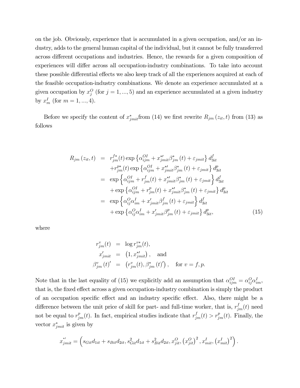on the job. Obviously, experience that is accumulated in a given occupation, and/or an industry, adds to the general human capital of the individual, but it cannot be fully transferred across different occupations and industries. Hence, the rewards for a given composition of experiences will differ across all occupation-industry combinations. To take into account these possible differential effects we also keep track of all the experiences acquired at each of the feasible occupation-industry combinations. We denote an experience accumulated at a given occupation by  $x_j^O$  (for  $j = 1, ..., 5$ ) and an experience accumulated at a given industry by  $x_m^I$  (for  $m = 1, ..., 4$ ).

Before we specify the content of  $x^{*}_{jmit}$  from (14) we first rewrite  $R_{jm}(z_{it},t)$  from (13) as follows

$$
R_{jm}(z_{it},t) = r_{jm}^{f*}(t) \exp \left\{ \alpha_{ijm}^{OI} + x_{jmit}^{*f} \beta_{jm}^{*}(t) + \varepsilon_{jmit} \right\} d_{3it}^{f}
$$
  
\n
$$
+ r_{jm}^{p*}(t) \exp \left\{ \alpha_{ijm}^{OI} + x_{jmit}^{*f} \beta_{jm}^{*}(t) + \varepsilon_{jmit} \right\} d_{3it}^{p}
$$
  
\n
$$
= \exp \left\{ \alpha_{ijm}^{OI} + r_{jm}^{f}(t) + x_{jmit}^{*f} \beta_{jm}^{*}(t) + \varepsilon_{jmit} \right\} d_{3it}^{f}
$$
  
\n
$$
+ \exp \left\{ \alpha_{ijm}^{OI} + r_{jm}^{p}(t) + x_{jmit}^{*f} \beta_{jm}^{*}(t) + \varepsilon_{jmit} \right\} d_{3it}^{p}
$$
  
\n
$$
= \exp \left\{ \alpha_{ij}^{O} \alpha_{im}^{I} + x_{jmit}^{'} \beta_{jm}^{f}(t) + \varepsilon_{jmit} \right\} d_{3it}^{f}
$$
  
\n
$$
+ \exp \left\{ \alpha_{ij}^{O} \alpha_{im}^{I} + x_{jmit}^{'} \beta_{jm}^{p}(t) + \varepsilon_{jmit} \right\} d_{3it}^{p}, \tag{15}
$$

where

$$
r_{jm}^{v}(t) = \log r_{jm}^{v*}(t),
$$
  
\n
$$
x_{jmit}' = (1, x_{jmit}^{*}) , \text{ and}
$$
  
\n
$$
\beta_{jm}^{v}(t)' = (r_{jm}^{v}(t), \beta_{jm}^{*}(t)'), \text{ for } v = f, p.
$$

Note that in the last equality of (15) we explicitly add an assumption that  $\alpha_{ijm}^{OI} = \alpha_{ij}^{O} \alpha_{im}^{I}$ , that is, the fixed effect across a given occupation-industry combination is simply the product of an occupation specific effect and an industry specific effect. Also, there might be a difference between the unit price of skill for part- and full-time worker, that is,  $r_{jm}^{f}(t)$  need not be equal to  $r_{jm}^p(t)$ . In fact, empirical studies indicate that  $r_{jm}^f(t) > r_{jm}^p(t)$ . Finally, the vector  $x_{jmit}^*$  is given by

$$
x_{jmit}^{*'} = \left(s_{Git}d_{1it} + s_{Bit}d_{2it}, s_{Git}^2d_{1it} + s_{Bit}^2d_{2it}, x_{jit}^O, (x_{jit}^O)^2, x_{mit}^I, (x_{mit}^I)^2\right).
$$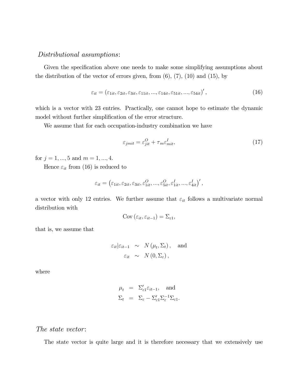### Distributional assumptions:

Given the specification above one needs to make some simplifying assumptions about the distribution of the vector of errors given, from  $(6)$ ,  $(7)$ ,  $(10)$  and  $(15)$ , by

$$
\varepsilon_{it} = \left(\varepsilon_{1it}, \varepsilon_{2it}, \varepsilon_{3it}, \varepsilon_{11it}, \dots, \varepsilon_{14it}, \varepsilon_{51it}, \dots, \varepsilon_{54it}\right)',\tag{16}
$$

which is a vector with 23 entries. Practically, one cannot hope to estimate the dynamic model without further simplification of the error structure.

We assume that for each occupation-industry combination we have

$$
\varepsilon_{jmit} = \varepsilon_{jit}^O + \tau_m \varepsilon_{mit}^I,\tag{17}
$$

for  $j = 1, ..., 5$  and  $m = 1, ..., 4$ .

Hence  $\varepsilon_{it}$  from (16) is reduced to

$$
\varepsilon_{it} = \left(\varepsilon_{1it}, \varepsilon_{2it}, \varepsilon_{3it}, \varepsilon_{1it}^O, ..., \varepsilon_{5it}^O, \varepsilon_{1it}^I, ..., \varepsilon_{4it}^I\right)',
$$

a vector with only 12 entries. We further assume that  $\varepsilon_{it}$  follows a multivariate normal distribution with

$$
Cov\left(\varepsilon_{it}, \varepsilon_{it-1}\right) = \Sigma_{\varepsilon 1},
$$

that is, we assume that

$$
\varepsilon_{it}|\varepsilon_{it-1} \sim N(\mu_t, \Sigma_t), \text{ and}
$$

$$
\varepsilon_{it} \sim N(0, \Sigma_{\varepsilon}),
$$

where

$$
\mu_t = \Sigma'_{\varepsilon 1} \varepsilon_{it-1}, \text{ and}
$$
  

$$
\Sigma_t = \Sigma_{\varepsilon} - \Sigma'_{\varepsilon 1} \Sigma_{\varepsilon}^{-1} \Sigma_{\varepsilon 1}.
$$

#### The state vector:

The state vector is quite large and it is therefore necessary that we extensively use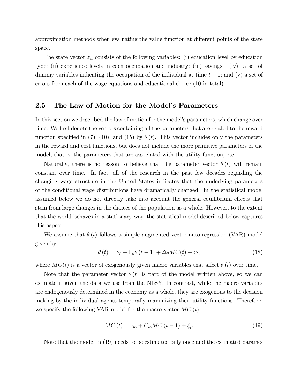approximation methods when evaluating the value function at different points of the state space.

The state vector  $z_{it}$  consists of the following variables: (i) education level by education type; (ii) experience levels in each occupation and industry; (iii) savings; (iv) a set of dummy variables indicating the occupation of the individual at time  $t - 1$ ; and (v) a set of errors from each of the wage equations and educational choice (10 in total).

#### 2.5 The Law of Motion for the Model's Parameters

In this section we described the law of motion for the model's parameters, which change over time. We first denote the vectors containing all the parameters that are related to the reward function specified in (7), (10), and (15) by  $\theta(t)$ . This vector includes only the parameters in the reward and cost functions, but does not include the more primitive parameters of the model, that is, the parameters that are associated with the utility function, etc.

Naturally, there is no reason to believe that the parameter vector  $\theta(t)$  will remain constant over time. In fact, all of the research in the past few decades regarding the changing wage structure in the United States indicates that the underlying parameters of the conditional wage distributions have dramatically changed. In the statistical model assumed below we do not directly take into account the general equilibrium effects that stem from large changes in the choices of the population as a whole. However, to the extent that the world behaves in a stationary way, the statistical model described below captures this aspect.

We assume that  $\theta(t)$  follows a simple augmented vector auto-regression (VAR) model given by

$$
\theta(t) = \gamma_{\theta} + \Gamma_{\theta}\theta(t-1) + \Delta_{\theta}MC(t) + \nu_{t},
$$
\n(18)

where  $MC(t)$  is a vector of exogenously given macro variables that affect  $\theta(t)$  over time.

Note that the parameter vector  $\theta(t)$  is part of the model written above, so we can estimate it given the data we use from the NLSY. In contrast, while the macro variables are endogenously determined in the economy as a whole, they are exogenous to the decision making by the individual agents temporally maximizing their utility functions. Therefore, we specify the following VAR model for the macro vector  $MC(t)$ :

$$
MC(t) = c_m + C_m MC(t-1) + \xi_t.
$$
 (19)

Note that the model in (19) needs to be estimated only once and the estimated parame-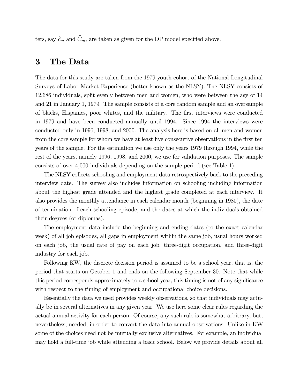ters, say  $\widehat{c}_m$  and  $\widehat{C}_m$ , are taken as given for the DP model specified above.

# 3 The Data

The data for this study are taken from the 1979 youth cohort of the National Longitudinal Surveys of Labor Market Experience (better known as the NLSY). The NLSY consists of 12,686 individuals, split evenly between men and women, who were between the age of 14 and 21 in January 1, 1979. The sample consists of a core random sample and an oversample of blacks, Hispanics, poor whites, and the military. The first interviews were conducted in 1979 and have been conducted annually until 1994. Since 1994 the interviews were conducted only in 1996, 1998, and 2000. The analysis here is based on all men and women from the core sample for whom we have at least five consecutive observations in the first ten years of the sample. For the estimation we use only the years 1979 through 1994, while the rest of the years, namely 1996, 1998, and 2000, we use for validation purposes. The sample consists of over 4,000 individuals depending on the sample period (see Table 1).

The NLSY collects schooling and employment data retrospectively back to the preceding interview date. The survey also includes information on schooling including information about the highest grade attended and the highest grade completed at each interview. It also provides the monthly attendance in each calendar month (beginning in 1980), the date of termination of each schooling episode, and the dates at which the individuals obtained their degrees (or diplomas).

The employment data include the beginning and ending dates (to the exact calendar week) of all job episodes, all gaps in employment within the same job, usual hours worked on each job, the usual rate of pay on each job, three-digit occupation, and three-digit industry for each job.

Following KW, the discrete decision period is assumed to be a school year, that is, the period that starts on October 1 and ends on the following September 30. Note that while this period corresponds approximately to a school year, this timing is not of any significance with respect to the timing of employment and occupational choice decisions.

Essentially the data we used provides weekly observations, so that individuals may actually be in several alternatives in any given year. We use here some clear rules regarding the actual annual activity for each person. Of course, any such rule is somewhat arbitrary, but, nevertheless, needed, in order to convert the data into annual observations. Unlike in KW some of the choices need not be mutually exclusive alternatives. For example, an individual may hold a full-time job while attending a basic school. Below we provide details about all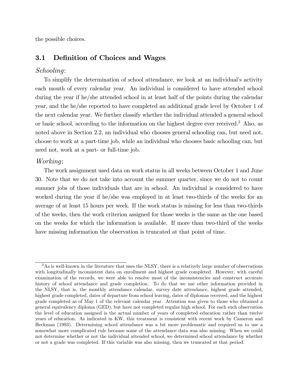the possible choices.

### 3.1 Definition of Choices and Wages

#### Schooling:

To simplify the determination of school attendance, we look at an individual's activity each month of every calendar year. An individual is considered to have attended school during the year if he/she attended school in at least half of the points during the calendar year, and the he/she reported to have completed an additional grade level by October 1 of the next calendar year. We further classify whether the individual attended a general school or basic school, according to the information on the highest degree ever received.2 Also, as noted above in Section 2.2, an individual who chooses general schooling can, but need not, choose to work at a part-time job, while an individual who chooses basic schooling can, but need not, work at a part- or full-time job.

#### Working:

The work assignment used data on work status in all weeks between October 1 and June 30. Note that we do not take into account the summer quarter, since we do not to count summer jobs of those individuals that are in school. An individual is considered to have worked during the year if he/she was employed in at least two-thirds of the weeks for an average of at least 15 hours per week. If the work status is missing for less than two-thirds of the weeks, then the work criterion assigned for those weeks is the same as the one based on the weeks for which the information is available. If more than two-third of the weeks have missing information the observation is truncated at that point of time.

 $2\text{As}$  is well-known in the literature that uses the NLSY, there is a relatively large number of observations with longitudinally inconsistent data on enrollment and highest grade completed. However, with careful examination of the records, we were able to resolve most of the inconsistencies and construct accurate history of school attendance and grade completion. To do that we use other information provided in the NLSY, that is, the monthly attendance calendar, survey date attendance, highest grade attended, highest grade completed, dates of departure from school leaving, dates of diplomas received, and the highest grade completed as of May 1 of the relevant calendar year. Attention was given to those who obtained a general equivalency diploma (GED), but have not completed regular high school. For each such observation the level of education assigned is the actual number of years of completed education rather than twelve years of education. As indicated in KW, this treatment is consistent with recent work by Cameron and Heckman (1993). Determining school attendance was a bit more problematic and required us to use a somewhat more complicated rule because some of the attendance data was also missing. When we could not determine whether or not the individual attended school, we determined school attendance by whether or not a grade was completed. If this variable was also missing, then we truncated at that period.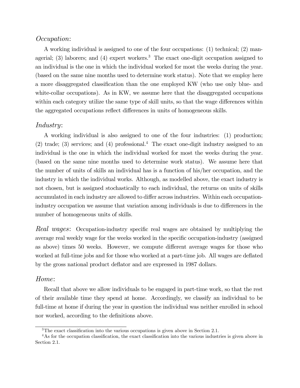### Occupation:

A working individual is assigned to one of the four occupations: (1) technical; (2) managerial; (3) laborers; and (4) expert workers.<sup>3</sup> The exact one-digit occupation assigned to an individual is the one in which the individual worked for most the weeks during the year. (based on the same nine months used to determine work status). Note that we employ here a more disaggregated classification than the one employed KW (who use only blue- and white-collar occupations). As in KW, we assume here that the disaggregated occupations within each category utilize the same type of skill units, so that the wage differences within the aggregated occupations reflect differences in units of homogeneous skills.

### Industry:

A working individual is also assigned to one of the four industries: (1) production; (2) trade; (3) services; and (4) professional.<sup>4</sup> The exact one-digit industry assigned to an individual is the one in which the individual worked for most the weeks during the year. (based on the same nine months used to determine work status). We assume here that the number of units of skills an individual has is a function of his/her occupation, and the industry in which the individual works. Although, as modelled above, the exact industry is not chosen, but is assigned stochastically to each individual, the returns on units of skills accumulated in each industry are allowed to differ across industries. Within each occupationindustry occupation we assume that variation among individuals is due to differences in the number of homogeneous units of skills.

Real wages: Occupation-industry specific real wages are obtained by multiplying the average real weekly wage for the weeks worked in the specific occupation-industry (assigned as above) times 50 weeks. However, we compute different average wages for those who worked at full-time jobs and for those who worked at a part-time job. All wages are deflated by the gross national product deflator and are expressed in 1987 dollars.

#### Home:

Recall that above we allow individuals to be engaged in part-time work, so that the rest of their available time they spend at home. Accordingly, we classify an individual to be full-time at home if during the year in question the individual was neither enrolled in school nor worked, according to the definitions above.

<sup>3</sup>The exact classification into the various occupations is given above in Section 2.1.

<sup>&</sup>lt;sup>4</sup>As for the occupation classification, the exact classification into the various industries is given above in Section 2.1.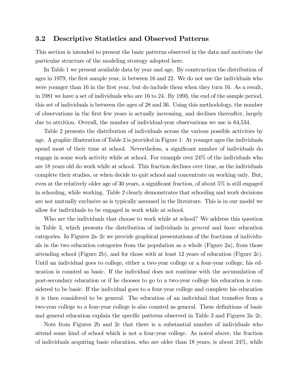### 3.2 Descriptive Statistics and Observed Patterns

This section is intended to present the basic patterns observed in the data and motivate the particular structure of the modeling strategy adopted here.

In Table 1 we present available data by year and age. By construction the distribution of ages in 1979, the first sample year, is between 16 and 22. We do not use the individuals who were younger than 16 in the first year, but do include them when they turn 16. As a result, in 1981 we have a set of individuals who are 16 to 24. By 1993, the end of the sample period, this set of individuals is between the ages of 28 and 36. Using this methodology, the number of observations in the first few years is actually increasing, and declines thereafter, largely due to attrition. Overall, the number of individual-year observations we use is 64,534.

Table 2 presents the distribution of individuals across the various possible activities by age. A graphic illustration of Table 2 is provided in Figure 1. At younger ages the individuals spend most of their time at school. Nevertheless, a significant number of individuals do engage in some work activity while at school. For example over 24% of the individuals who are 18 years old do work while at school. This fraction declines over time, as the individuals complete their studies, or when decide to quit school and concentrate on working only. But, even at the relatively older age of 30 years, a significant fraction, of about 5% is still engaged in schooling, while working. Table 2 clearly demonstrates that schooling and work decisions are not mutually exclusive as is typically assumed in the literature. This is in our model we allow for individuals to be engaged in work while at school.

Who are the individuals that choose to work while at school? We address this question in Table 3, which presents the distribution of individuals in general and basic education categories. In Figures 2a—2c we provide graphical presentations of the fractions of individuals in the two education categories from the population as a whole (Figure 2a), from those attending school (Figure 2b), and for those with at least 12 years of education (Figure 2c). Until an individual goes to college, either a two-year college or a four-year college, his education is counted as basic. If the individual does not continue with the accumulation of post-secondary education or if he chooses to go to a two-year college his education is considered to be basic. If the individual goes to a four-year college and complete his education it is then considered to be general. The education of an individual that transfers from a two-year college to a four-year college is also counted as general. These definitions of basic and general education explain the specific patterns observed in Table 3 and Figures 2a—2c.

Note from Figures 2b and 2c that there is a substantial number of individuals who attend some kind of school which is not a four-year college. As noted above, the fraction of individuals acquiring basic education, who are older than 18 years, is about 24%, while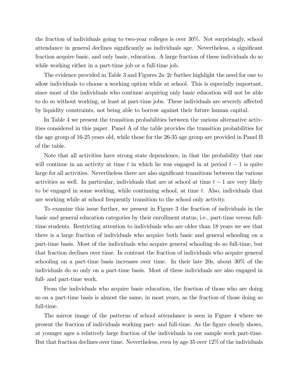the fraction of individuals going to two-year colleges is over 30%. Not surprisingly, school attendance in general declines significantly as individuals age. Nevertheless, a significant fraction acquire basic, and only basic, education. A large fraction of these individuals do so while working either in a part-time job or a full-time job.

The evidence provided in Table 3 and Figures 2a—2c further highlight the need for one to allow individuals to choose a working option while at school. This is especially important, since most of the individuals who continue acquiring only basic education will not be able to do so without working, at least at part-time jobs. These individuals are severely affected by liquidity constraints, not being able to borrow against their future human capital.

In Table 4 we present the transition probabilities between the various alternative activities considered in this paper. Panel A of the table provides the transition probabilities for the age group of 16-25 years old, while those for the 26-35 age group are provided in Panel B of the table.

Note that all activities have strong state dependence, in that the probability that one will continue in an activity at time t in which he was engaged in at period  $t - 1$  is quite large for all activities. Nevertheless there are also significant transitions between the various activities as well. In particular, individuals that are at school at time  $t-1$  are very likely to be engaged in some working, while continuing school, at time t. Also, individuals that are working while at school frequently transition to the school only activity.

To examine this issue further, we present in Figure 3 the fraction of individuals in the basic and general education categories by their enrollment status, i.e., part-time versus fulltime students. Restricting attention to individuals who are older than 18 years we see that there is a large fraction of individuals who acquire both basic and general schooling on a part-time basis. Most of the individuals who acquire general schooling do so full-time, but that fraction declines over time. In contrast the fraction of individuals who acquire general schooling on a part-time basis increases over time. In their late 20s, about 30% of the individuals do so only on a part-time basis. Most of these individuals are also engaged in full- and part-time work.

From the individuals who acquire basic education, the fraction of those who are doing so on a part-time basis is almost the same, in most years, as the fraction of those doing so full-time.

The mirror image of the patterns of school attendance is seen in Figure 4 where we present the fraction of individuals working part- and full-time. As the figure clearly shows, at younger ages a relatively large fraction of the individuals in our sample work part-time. But that fraction declines over time. Nevertheless, even by age 35 over 12% of the individuals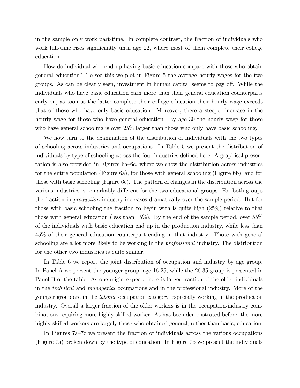in the sample only work part-time. In complete contrast, the fraction of individuals who work full-time rises significantly until age 22, where most of them complete their college education.

How do individual who end up having basic education compare with those who obtain general education? To see this we plot in Figure 5 the average hourly wages for the two groups. As can be clearly seen, investment in human capital seems to pay off. While the individuals who have basic education earn more than their general education counterparts early on, as soon as the latter complete their college education their hourly wage exceeds that of those who have only basic education. Moreover, there a steeper increase in the hourly wage for those who have general education. By age 30 the hourly wage for those who have general schooling is over  $25\%$  larger than those who only have basic schooling.

We now turn to the examination of the distribution of individuals with the two types of schooling across industries and occupations. In Table 5 we present the distribution of individuals by type of schooling across the four industries defined here. A graphical presentation is also provided in Figures 6a—6c, where we show the distribution across industries for the entire population (Figure 6a), for those with general schooling (Figure 6b), and for those with basic schooling (Figure 6c). The pattern of changes in the distribution across the various industries is remarkably different for the two educational groups. For both groups the fraction in production industry increases dramatically over the sample period. But for those with basic schooling the fraction to begin with is quite high (25%) relative to that those with general education (less than 15%). By the end of the sample period, over 55% of the individuals with basic education end up in the production industry, while less than 45% of their general education counterpart ending in that industry. Those with general schooling are a lot more likely to be working in the *professional* industry. The distribution for the other two industries is quite similar.

In Table 6 we report the joint distribution of occupation and industry by age group. In Panel A we present the younger group, age 16-25, while the 26-35 group is presented in Panel B of the table. As one might expect, there is larger fraction of the older individuals in the technical and managerial occupations and in the professional industry. More of the younger group are in the laborer occupation category, especially working in the production industry. Overall a larger fraction of the older workers is in the occupation-industry combinations requiring more highly skilled worker. As has been demonstrated before, the more highly skilled workers are largely those who obtained general, rather than basic, education.

In Figures 7a—7c we present the fraction of individuals across the various occupations (Figure 7a) broken down by the type of education. In Figure 7b we present the individuals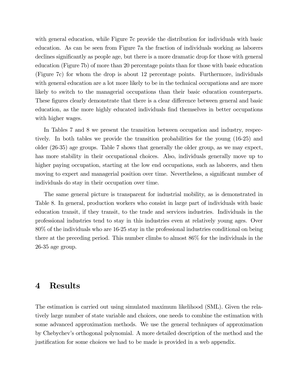with general education, while Figure 7c provide the distribution for individuals with basic education. As can be seen from Figure 7a the fraction of individuals working as laborers declines significantly as people age, but there is a more dramatic drop for those with general education (Figure 7b) of more than 20 percentage points than for those with basic education (Figure 7c) for whom the drop is about 12 percentage points. Furthermore, individuals with general education are a lot more likely to be in the technical occupations and are more likely to switch to the managerial occupations than their basic education counterparts. These figures clearly demonstrate that there is a clear difference between general and basic education, as the more highly educated individuals find themselves in better occupations with higher wages.

In Tables 7 and 8 we present the transition between occupation and industry, respectively. In both tables we provide the transition probabilities for the young (16-25) and older (26-35) age groups. Table 7 shows that generally the older group, as we may expect, has more stability in their occupational choices. Also, individuals generally move up to higher paying occupation, starting at the low end occupations, such as laborers, and then moving to expert and managerial position over time. Nevertheless, a significant number of individuals do stay in their occupation over time.

The same general picture is transparent for industrial mobility, as is demonstrated in Table 8. In general, production workers who consist in large part of individuals with basic education transit, if they transit, to the trade and services industries. Individuals in the professional industries tend to stay in this industries even at relatively young ages. Over 80% of the individuals who are 16-25 stay in the professional industries conditional on being there at the preceding period. This number climbs to almost 86% for the individuals in the 26-35 age group.

# 4 Results

The estimation is carried out using simulated maximum likelihood (SML). Given the relatively large number of state variable and choices, one needs to combine the estimation with some advanced approximation methods. We use the general techniques of approximation by Chebychev's orthogonal polynomial. A more detailed description of the method and the justification for some choices we had to be made is provided in a web appendix.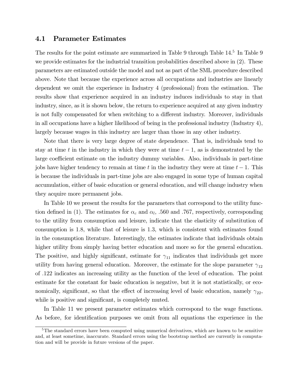#### 4.1 Parameter Estimates

The results for the point estimate are summarized in Table 9 through Table 14.<sup>5</sup> In Table 9 we provide estimates for the industrial transition probabilities described above in (2). These parameters are estimated outside the model and not as part of the SML procedure described above. Note that because the experience across all occupations and industries are linearly dependent we omit the experience in Industry 4 (professional) from the estimation. The results show that experience acquired in an industry induces individuals to stay in that industry, since, as it is shown below, the return to experience acquired at any given industry is not fully compensated for when switching to a different industry. Moreover, individuals in all occupations have a higher likelihood of being in the professional industry (Industry 4), largely because wages in this industry are larger than those in any other industry.

Note that there is very large degree of state dependence. That is, individuals tend to stay at time t in the industry in which they were at time  $t - 1$ , as is demonstrated by the large coefficient estimate on the industry dummy variables. Also, individuals in part-time jobs have higher tendency to remain at time t in the industry they were at time  $t - 1$ . This is because the individuals in part-time jobs are also engaged in some type of human capital accumulation, either of basic education or general education, and will change industry when they acquire more permanent jobs.

In Table 10 we present the results for the parameters that correspond to the utility function defined in (1). The estimates for  $\alpha_c$  and  $\alpha_l$ , .560 and .767, respectively, corresponding to the utility from consumption and leisure, indicate that the elasticity of substitution of consumption is 1.8, while that of leisure is 1.3, which is consistent with estimates found in the consumption literature. Interestingly, the estimates indicate that individuals obtain higher utility from simply having better education and more so for the general education. The positive, and highly significant, estimate for  $\gamma_{11}$  indicates that individuals get more utility from having general education. Moreover, the estimate for the slope parameter  $\gamma_{12}$ of .122 indicates an increasing utility as the function of the level of education. The point estimate for the constant for basic education is negative, but it is not statistically, or economically, significant, so that the effect of increasing level of basic education, namely  $\gamma_{22}$ , while is positive and significant, is completely muted.

In Table 11 we present parameter estimates which correspond to the wage functions. As before, for identification purposes we omit from all equations the experience in the

<sup>&</sup>lt;sup>5</sup>The standard errors have been computed using numerical derivatives, which are known to be sensitive and, at least sometime, inaccurate. Standard errors using the bootstrap method are currently in computation and will be provide in future versions of the paper.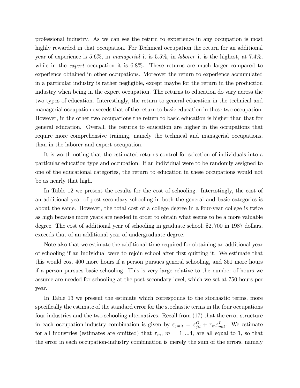professional industry. As we can see the return to experience in any occupation is most highly rewarded in that occupation. For Technical occupation the return for an additional year of experience is 5.6%, in managerial it is 5.5%, in laborer it is the highest, at 7.4%, while in the *expert* occupation it is 6.8%. These returns are much larger compared to experience obtained in other occupations. Moreover the return to experience accumulated in a particular industry is rather negligible, except maybe for the return in the production industry when being in the expert occupation. The returns to education do vary across the two types of education. Interestingly, the return to general education in the technical and managerial occupation exceeds that of the return to basic education in these two occupation. However, in the other two occupations the return to basic education is higher than that for general education. Overall, the returns to education are higher in the occupations that require more comprehensive training, namely the technical and managerial occupations, than in the laborer and expert occupation.

It is worth noting that the estimated returns control for selection of individuals into a particular education type and occupation. If an individual were to be randomly assigned to one of the educational categories, the return to education in these occupations would not be as nearly that high.

In Table 12 we present the results for the cost of schooling. Interestingly, the cost of an additional year of post-secondary schooling in both the general and basic categories is about the same. However, the total cost of a college degree in a four-year college is twice as high because more years are needed in order to obtain what seems to be a more valuable degree. The cost of additional year of schooling in graduate school, \$2, 700 in 1987 dollars, exceeds that of an additional year of undergraduate degree.

Note also that we estimate the additional time required for obtaining an additional year of schooling if an individual were to rejoin school after first quitting it. We estimate that this would cost 400 more hours if a person pursues general schooling, and 351 more hours if a person pursues basic schooling. This is very large relative to the number of hours we assume are needed for schooling at the post-secondary level, which we set at 750 hours per year.

In Table 13 we present the estimate which corresponds to the stochastic terms, more specifically the estimate of the standard error for the stochastic terms in the four occupations four industries and the two schooling alternatives. Recall from (17) that the error structure in each occupation-industry combination is given by  $\varepsilon_{jmit} = \varepsilon_{jit}^O + \tau_m \varepsilon_{mit}^I$ . We estimate for all industries (estimates are omitted) that  $\tau_m$ ,  $m = 1,...4$ , are all equal to 1, so that the error in each occupation-industry combination is merely the sum of the errors, namely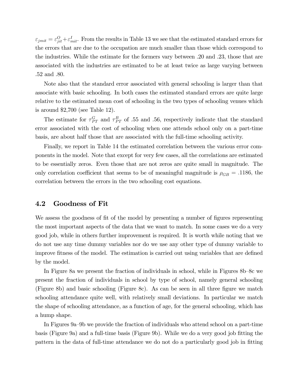$\varepsilon_{jmit} = \varepsilon_{jit}^O + \varepsilon_{mit}^I$ . From the results in Table 13 we see that the estimated standard errors for the errors that are due to the occupation are much smaller than those which correspond to the industries. While the estimate for the formers vary between .20 and .23, those that are associated with the industries are estimated to be at least twice as large varying between .52 and .80.

Note also that the standard error associated with general schooling is larger than that associate with basic schooling. In both cases the estimated standard errors are quite large relative to the estimated mean cost of schooling in the two types of schooling venues which is around \$2,700 (see Table 12).

The estimate for  $\tau_{PT}^G$  and  $\tau_{PT}^B$  of .55 and .56, respectively indicate that the standard error associated with the cost of schooling when one attends school only on a part-time basis, are about half those that are associated with the full-time schooling activity.

Finally, we report in Table 14 the estimated correlation between the various error components in the model. Note that except for very few cases, all the correlations are estimated to be essentially zeros. Even those that are not zeros are quite small in magnitude. The only correlation coefficient that seems to be of meaningful magnitude is  $\rho_{GB} = .1186$ , the correlation between the errors in the two schooling cost equations.

#### 4.2 Goodness of Fit

We assess the goodness of fit of the model by presenting a number of figures representing the most important aspects of the data that we want to match. In some cases we do a very good job, while in others further improvement is required. It is worth while noting that we do not use any time dummy variables nor do we use any other type of dummy variable to improve fitness of the model. The estimation is carried out using variables that are defined by the model.

In Figure 8a we present the fraction of individuals in school, while in Figures 8b—8c we present the fraction of individuals in school by type of school, namely general schooling (Figure 8b) and basic schooling (Figure 8c). As can be seen in all three figure we match schooling attendance quite well, with relatively small deviations. In particular we match the shape of schooling attendance, as a function of age, for the general schooling, which has a hump shape.

In Figures 9a—9b we provide the fraction of individuals who attend school on a part-time basis (Figure 9a) and a full-time basis (Figure 9b). While we do a very good job fitting the pattern in the data of full-time attendance we do not do a particularly good job in fitting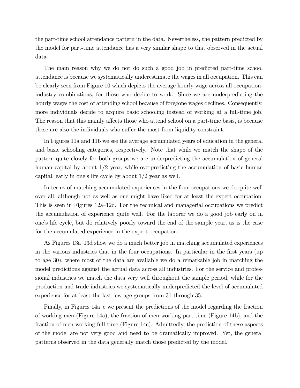the part-time school attendance pattern in the data. Nevertheless, the pattern predicted by the model for part-time attendance has a very similar shape to that observed in the actual data.

The main reason why we do not do such a good job in predicted part-time school attendance is because we systematically underestimate the wages in all occupation. This can be clearly seen from Figure 10 which depicts the average hourly wage across all occupationindustry combinations, for those who decide to work. Since we are underpredicting the hourly wages the cost of attending school because of foregone wages declines. Consequently, more individuals decide to acquire basic schooling instead of working at a full-time job. The reason that this mainly affects those who attend school on a part-time basis, is because these are also the individuals who suffer the most from liquidity constraint.

In Figures 11a and 11b we see the average accumulated years of education in the general and basic schooling categories, respectively. Note that while we match the shape of the pattern quite closely for both groups we are underpredicting the accumulation of general human capital by about 1/2 year, while overpredicting the accumulation of basic human capital, early in one's life cycle by about 1/2 year as well.

In terms of matching accumulated experiences in the four occupations we do quite well over all, although not as well as one might have liked for at least the expert occupation. This is seen in Figures 12a—12d. For the technical and managerial occupations we predict the accumulation of experience quite well. For the laborer we do a good job early on in one's life cycle, but do relatively poorly toward the end of the sample year, as is the case for the accumulated experience in the expert occupation.

As Figures 13a—13d show we do a much better job in matching accumulated experiences in the various industries that in the four occupations. In particular in the first years (up to age 30), where most of the data are available we do a remarkable job in matching the model predictions against the actual data across all industries. For the service and professional industries we match the data very well throughout the sample period, while for the production and trade industries we systematically underpredicted the level of accumulated experience for at least the last few age groups from 31 through 35.

Finally, in Figures 14a—c we present the predictions of the model regarding the fraction of working men (Figure 14a), the fraction of men working part-time (Figure 14b), and the fraction of men working full-time (Figure 14c). Admittedly, the prediction of these aspects of the model are not very good and need to be dramatically improved. Yet, the general patterns observed in the data generally match those predicted by the model.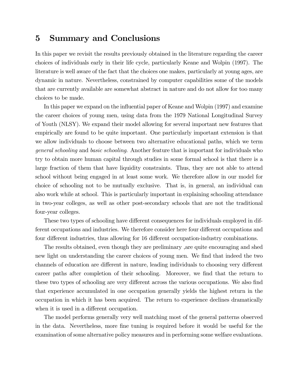# 5 Summary and Conclusions

In this paper we revisit the results previously obtained in the literature regarding the career choices of individuals early in their life cycle, particularly Keane and Wolpin (1997). The literature is well aware of the fact that the choices one makes, particularly at young ages, are dynamic in nature. Nevertheless, constrained by computer capabilities some of the models that are currently available are somewhat abstract in nature and do not allow for too many choices to be made.

In this paper we expand on the influential paper of Keane and Wolpin (1997) and examine the career choices of young men, using data from the 1979 National Longitudinal Survey of Youth (NLSY). We expand their model allowing for several important new features that empirically are found to be quite important. One particularly important extension is that we allow individuals to choose between two alternative educational paths, which we term general schooling and basic schooling. Another feature that is important for individuals who try to obtain more human capital through studies in some formal school is that there is a large fraction of them that have liquidity constraints. Thus, they are not able to attend school without being engaged in at least some work. We therefore allow in our model for choice of schooling not to be mutually exclusive. That is, in general, an individual can also work while at school. This is particularly important in explaining schooling attendance in two-year colleges, as well as other post-secondary schools that are not the traditional four-year colleges.

These two types of schooling have different consequences for individuals employed in different occupations and industries. We therefore consider here four different occupations and four different industries, thus allowing for 16 different occupation-industry combinations.

The results obtained, even though they are preliminary ,are quite encouraging and shed new light on understanding the career choices of young men. We find that indeed the two channels of education are different in nature, leading individuals to choosing very different career paths after completion of their schooling. Moreover, we find that the return to these two types of schooling are very different across the various occupations. We also find that experience accumulated in one occupation generally yields the highest return in the occupation in which it has been acquired. The return to experience declines dramatically when it is used in a different occupation.

The model performs generally very well matching most of the general patterns observed in the data. Nevertheless, more fine tuning is required before it would be useful for the examination of some alternative policy measures and in performing some welfare evaluations.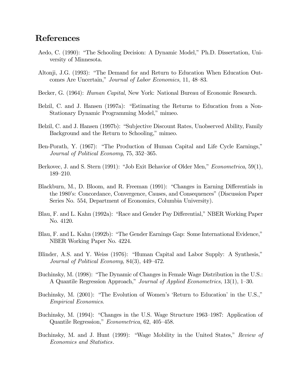# References

- Aedo, C. (1990): "The Schooling Decision: A Dynamic Model," Ph.D. Dissertation, University of Minnesota.
- Altonji, J.G. (1993): "The Demand for and Return to Education When Education Outcomes Are Uncertain," Journal of Labor Economics, 11, 48—83.
- Becker, G. (1964): *Human Capital*, New York: National Bureau of Economic Research.
- Belzil, C. and J. Hansen (1997a): "Estimating the Returns to Education from a Non-Stationary Dynamic Programming Model," mimeo.
- Belzil, C. and J. Hansen (1997b): "Subjective Discount Rates, Unobserved Ability, Family Background and the Return to Schooling," mimeo.
- Ben-Porath, Y. (1967): "The Production of Human Capital and Life Cycle Earnings," Journal of Political Economy, 75, 352—365.
- Berkovec, J. and S. Stern (1991): "Job Exit Behavior of Older Men," *Econometrica*, 59(1), 189—210.
- Blackburn, M., D. Bloom, and R. Freeman (1991): "Changes in Earning Differentials in the 1980's: Concordance, Convergence, Causes, and Consequences" (Discussion Paper Series No. 554, Department of Economics, Columbia University).
- Blau, F. and L. Kahn (1992a): "Race and Gender Pay Differential," NBER Working Paper No. 4120.
- Blau, F. and L. Kahn (1992b): "The Gender Earnings Gap: Some International Evidence," NBER Working Paper No. 4224.
- Blinder, A.S. and Y. Weiss (1976): "Human Capital and Labor Supply: A Synthesis," Journal of Political Economy, 84(3), 449—472.
- Buchinsky, M. (1998): "The Dynamic of Changes in Female Wage Distribution in the U.S.: A Quantile Regression Approach," Journal of Applied Econometrics, 13(1), 1—30.
- Buchinsky, M. (2001): "The Evolution of Women's 'Return to Education' in the U.S.," Empirical Economics.
- Buchinsky, M. (1994): "Changes in the U.S. Wage Structure 1963—1987: Application of Quantile Regression," Econometrica, 62, 405—458.
- Buchinsky, M. and J. Hunt (1999): "Wage Mobility in the United States," Review of Economics and Statistics.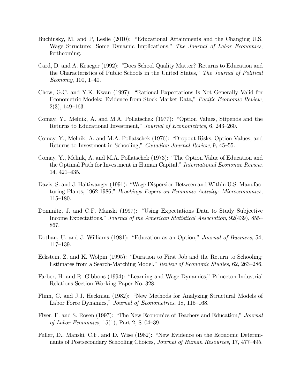- Buchinsky, M. and P, Leslie (2010): "Educational Attainments and the Changing U.S. Wage Structure: Some Dynamic Implications," The Journal of Labor Economics, forthcoming.
- Card, D. and A. Krueger (1992): "Does School Quality Matter? Returns to Education and the Characteristics of Public Schools in the United States," The Journal of Political Economy, 100, 1—40.
- Chow, G.C. and Y.K. Kwan (1997): "Rational Expectations Is Not Generally Valid for Econometric Models: Evidence from Stock Market Data," Pacific Economic Review, 2(3), 149—163.
- Comay, Y., Melnik, A. and M.A. Pollatschek (1977): "Option Values, Stipends and the Returns to Educational Investment," Journal of Econometrics, 6, 243—260.
- Comay, Y., Melnik, A. and M.A. Pollatschek (1976): "Dropout Risks, Option Values, and Returns to Investment in Schooling," Canadian Journal Review, 9, 45—55.
- Comay, Y., Melnik, A. and M.A. Pollatschek (1973): "The Option Value of Education and the Optimal Path for Investment in Human Capital," International Economic Review, 14, 421—435.
- Davis, S. and J. Haltiwanger (1991): "Wage Dispersion Between and Within U.S. Manufacturing Plants, 1962-1986," Brookings Papers on Economic Activity: Microeconomics, 115—180.
- Dominitz, J. and C.F. Manski (1997): "Using Expectations Data to Study Subjective Income Expectations," Journal of the American Statistical Association, 92(439), 855— 867.
- Dothan, U. and J. Williams (1981): "Education as an Option," Journal of Business, 54, 117—139.
- Eckstein, Z. and K. Wolpin (1995): "Duration to First Job and the Return to Schooling: Estimates from a Search-Matching Model," Review of Economic Studies, 62, 263—286.
- Farber, H. and R. Gibbons (1994): "Learning and Wage Dynamics," Princeton Industrial Relations Section Working Paper No. 328.
- Flinn, C. and J.J. Heckman (1982): "New Methods for Analyzing Structural Models of Labor Force Dynamics," Journal of Econometrics, 18, 115—168.
- Flyer, F. and S. Rosen (1997): "The New Economics of Teachers and Education," Journal of Labor Economics,  $15(1)$ , Part 2, S104-39.
- Fuller, D., Manski, C.F. and D. Wise (1982): "New Evidence on the Economic Determinants of Postsecondary Schooling Choices, Journal of Human Resources, 17, 477—495.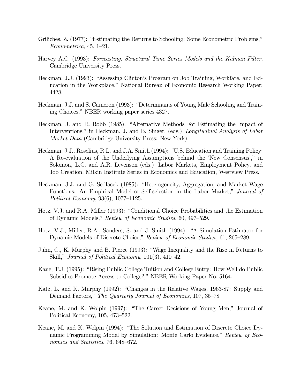- Griliches, Z. (1977): "Estimating the Returns to Schooling: Some Econometric Problems," Econometrica, 45, 1—21.
- Harvey A.C. (1993): Forecasting, Structural Time Series Models and the Kalman Filter, Cambridge University Press.
- Heckman, J.J. (1993): "Assessing Clinton's Program on Job Training, Workfare, and Education in the Workplace," National Bureau of Economic Research Working Paper: 4428.
- Heckman, J.J. and S. Cameron (1993): "Determinants of Young Male Schooling and Training Choices," NBER working paper series 4327.
- Heckman, J. and R. Robb (1985): "Alternative Methods For Estimating the Impact of Interventions," in Heckman, J. and B. Singer, (eds.) Longitudinal Analysis of Labor Market Data (Cambridge University Press: New York).
- Heckman, J.J., Roselius, R.L. and J.A. Smith (1994): "U.S. Education and Training Policy: A Re-evaluation of the Underlying Assumptions behind the 'New Consensus'," in Solomon, L.C. and A.R. Levenson (eds.) Labor Markets, Employment Policy, and Job Creation, Milkin Institute Series in Economics and Education, Westview Press.
- Heckman, J.J. and G. Sedlacek (1985): "Heterogeneity, Aggregation, and Market Wage Functions: An Empirical Model of Self-selection in the Labor Market," Journal of Political Economy, 93(6), 1077—1125.
- Hotz, V.J. and R.A. Miller (1993): "Conditional Choice Probabilities and the Estimation of Dynamic Models," Review of Economic Studies, 60, 497—529.
- Hotz, V.J., Miller, R.A., Sanders, S. and J. Smith (1994): "A Simulation Estimator for Dynamic Models of Discrete Choice," Review of Economic Studies, 61, 265—289.
- Juhn, C., K. Murphy and B. Pierce (1993): "Wage Inequality and the Rise in Returns to Skill," Journal of Political Economy, 101(3), 410—42.
- Kane, T.J. (1995): "Rising Public College Tuition and College Entry: How Well do Public Subsidies Promote Access to College?," NBER Working Paper No. 5164.
- Katz, L. and K. Murphy (1992): "Changes in the Relative Wages, 1963-87: Supply and Demand Factors," The Quarterly Journal of Economics, 107, 35–78.
- Keane, M. and K. Wolpin (1997): "The Career Decisions of Young Men," Journal of Political Economy, 105, 473—522.
- Keane, M. and K. Wolpin (1994): "The Solution and Estimation of Discrete Choice Dynamic Programming Model by Simulation: Monte Carlo Evidence," Review of Economics and Statistics, 76, 648—672.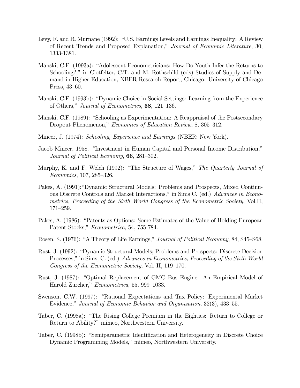- Levy, F. and R. Murnane (1992): "U.S. Earnings Levels and Earnings Inequality: A Review of Recent Trends and Proposed Explanation," Journal of Economic Literature, 30, 1333-1381.
- Manski, C.F. (1993a): "Adolescent Econometricians: How Do Youth Infer the Returns to Schooling?," in Clotfelter, C.T. and M. Rothschild (eds) Studies of Supply and Demand in Higher Education, NBER Research Report, Chicago: University of Chicago Press, 43—60.
- Manski, C.F. (1993b): "Dynamic Choice in Social Settings: Learning from the Experience of Others," Journal of Econometrics, 58, 121—136.
- Manski, C.F. (1989): "Schooling as Experimentation: A Reappraisal of the Postsecondary Dropout Phenomenon," Economics of Education Review, 8, 305—312.
- Mincer, J. (1974): Schooling, Experience and Earnings (NBER: New York).
- Jacob Mincer, 1958. "Investment in Human Capital and Personal Income Distribution," Journal of Political Economy, **66**, 281–302.
- Murphy, K. and F. Welch (1992): "The Structure of Wages," The Quarterly Journal of Economics, 107, 285—326.
- Pakes, A. (1991):"Dynamic Structural Models: Problems and Prospects, Mixed Continuous Discrete Controls and Market Interactions," in Sims C. (ed.) Advances in Econometrics, Proceeding of the Sixth World Congress of the Econometric Society, Vol.II, 171—259.
- Pakes, A. (1986): "Patents as Options: Some Estimates of the Value of Holding European Patent Stocks," Econometrica, 54, 755-784.
- Rosen, S. (1976): "A Theory of Life Earnings," Journal of Political Economy, 84, S45—S68.
- Rust, J. (1992): "Dynamic Structural Models; Problems and Prospects: Discrete Decision Processes," in Sims, C. (ed.) Advances in Econometrics, Proceeding of the Sixth World Congress of the Econometric Society, Vol. II, 119—170.
- Rust, J. (1987): "Optimal Replacement of GMC Bus Engine: An Empirical Model of Harold Zurcher," Econometrica, 55, 999—1033.
- Swenson, C.W. (1997): "Rational Expectations and Tax Policy: Experimental Market Evidence," Journal of Economic Behavior and Organization, 32(3), 433—55.
- Taber, C. (1998a): "The Rising College Premium in the Eighties: Return to College or Return to Ability?" mimeo, Northwestern University.
- Taber, C. (1998b): "Semiparametric Identification and Heterogeneity in Discrete Choice Dynamic Programming Models," mimeo, Northwestern University.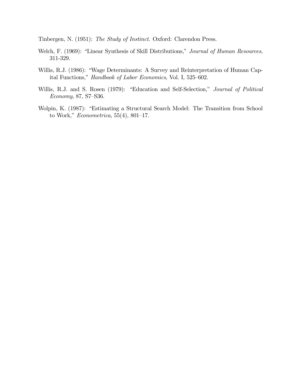Tinbergen, N. (1951): The Study of Instinct. Oxford: Clarendon Press.

- Welch, F. (1969): "Linear Synthesis of Skill Distributions," Journal of Human Resources, 311-329.
- Willis, R.J. (1986): "Wage Determinants: A Survey and Reinterpretation of Human Capital Functions," Handbook of Labor Economics, Vol. I, 525—602.
- Willis, R.J. and S. Rosen (1979): "Education and Self-Selection," Journal of Political Economy, 87, S7—S36.
- Wolpin, K. (1987): "Estimating a Structural Search Model: The Transition from School to Work," *Econometrica*, 55(4), 801–17.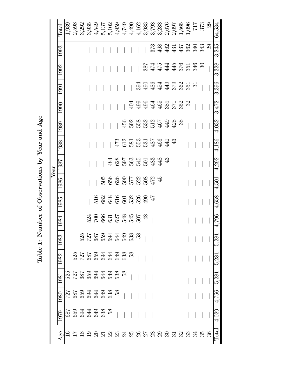Table 1: Number of Observations by Year and Age Table 1: Number of Observations by Year and Age

|      | $\rm{Total}$ | 1,939 | 2,598 | 3,292 | 3,935          | 4,549        | 5,137               | 5,102 | 4,959                        | 4,749             | 4,490                                                                       |     | $4,162$<br>3,983 |    |                                                                                                |             |    |    |                           | $\begin{array}{l} 3,798 \\ 3,288 \\ 2,676 \\ 2,676 \\ 3,565 \\ 1,565 \\ 1,71 \\ 1,73 \\ 3,73 \\ 2,9 \\ \end{array}$ |                | 64,534 |
|------|--------------|-------|-------|-------|----------------|--------------|---------------------|-------|------------------------------|-------------------|-----------------------------------------------------------------------------|-----|------------------|----|------------------------------------------------------------------------------------------------|-------------|----|----|---------------------------|---------------------------------------------------------------------------------------------------------------------|----------------|--------|
|      | 1993         |       |       |       |                |              |                     |       |                              |                   |                                                                             |     |                  |    | $\begin{array}{c} 373 \\ 468 \end{array}$                                                      | \$374383333 |    |    |                           |                                                                                                                     | $\mathbb{S}^2$ | 3,245  |
|      | 1992         |       |       |       |                |              |                     |       |                              |                   |                                                                             |     |                  |    | 2014446546<br>2014446546                                                                       |             |    |    |                           | $\mathbb{S}$                                                                                                        |                | 3,328  |
|      | <b>1991</b>  |       |       |       |                |              |                     |       |                              |                   |                                                                             | 394 |                  |    | $\begin{array}{c} 90 & 40 & 40 \\ 90 & 40 & 40 \\ 40 & 40 & 36 \\ 50 & 60 & 36 \\ \end{array}$ |             |    |    | $\overline{\mathfrak{S}}$ |                                                                                                                     |                | 3,396  |
|      | 1990         |       |       |       |                |              |                     |       |                              |                   | $\ddot{q}$                                                                  |     |                  |    | $99545371$<br>$99545371$                                                                       |             |    | 32 |                           |                                                                                                                     |                | 3,472  |
|      | 1989         |       |       |       |                |              |                     |       |                              |                   | 5<br>5<br>5<br>5<br>5<br>5<br>5<br>5<br>5<br>5<br>5<br>4<br>5<br>5<br>5<br> |     |                  |    |                                                                                                | 428         | 38 |    |                           |                                                                                                                     |                | 4,032  |
|      | 1988         |       |       |       |                |              |                     |       |                              | <b>4223334444</b> |                                                                             |     |                  |    |                                                                                                | $\ddot{z}$  |    |    |                           |                                                                                                                     |                | 4,186  |
| Year | 1987         |       |       |       |                |              |                     |       | 38553533343                  |                   |                                                                             |     |                  |    |                                                                                                |             |    |    |                           |                                                                                                                     |                | 4,292  |
|      | 1986         |       |       |       |                |              | 505                 |       | 55<br>53553857<br>45         |                   |                                                                             |     |                  |    |                                                                                                |             |    |    |                           |                                                                                                                     |                | 4,501  |
|      | 1985         |       |       |       |                |              |                     |       | 523655386                    |                   |                                                                             |     |                  | 47 |                                                                                                |             |    |    |                           |                                                                                                                     |                | 4,658  |
|      | 1984         |       |       |       |                |              |                     |       |                              |                   |                                                                             |     |                  |    |                                                                                                |             |    |    |                           |                                                                                                                     |                | 4,796  |
|      | 1983         |       |       |       |                |              |                     |       |                              |                   |                                                                             |     |                  |    |                                                                                                |             |    |    |                           |                                                                                                                     |                | 5,281  |
|      | 1982         |       |       |       |                |              |                     |       | 2272343888<br>2273534388     |                   |                                                                             |     |                  |    |                                                                                                |             |    |    |                           |                                                                                                                     |                | 5,281  |
|      | 1981         |       |       |       |                |              |                     |       | 525 934 938<br>525 934 938 5 |                   |                                                                             |     |                  |    |                                                                                                |             |    |    |                           |                                                                                                                     |                | 5,281  |
|      | 1980         |       |       |       |                |              |                     |       | 27<br>28534388<br>294388     |                   |                                                                             |     |                  |    |                                                                                                |             |    |    |                           |                                                                                                                     |                | 4,756  |
|      | 1979         | 587   |       |       | 59449888       |              |                     |       |                              |                   |                                                                             |     |                  |    |                                                                                                |             |    |    |                           |                                                                                                                     |                | 4,029  |
|      | Age          |       |       |       | $\overline{0}$ | $\mathbb{S}$ | $\overline{\Omega}$ | 22    | $\mathbb{S}^2$               | $\mathbb{Z}$      |                                                                             |     |                  |    | <b>222232323333</b>                                                                            |             |    |    | $\mathfrak{L}$            | $35^{\circ}$                                                                                                        | 36             | Total  |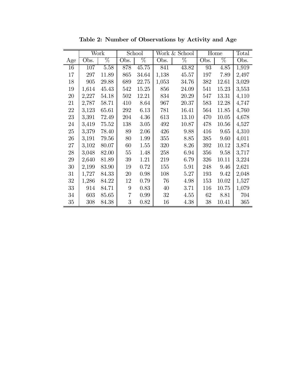|        |       | Work            |                 | School |       | Work & School |      | Home  | Total |
|--------|-------|-----------------|-----------------|--------|-------|---------------|------|-------|-------|
| Age    | Obs.  | $\overline{\%}$ | Obs.            | $\%$   | Obs.  | $\%$          | Obs. | $\%$  | Obs.  |
| 16     | 107   | 5.58            | 878             | 45.75  | 841   | 43.82         | 93   | 4.85  | 1,919 |
| 17     | 297   | 11.89           | 865             | 34.64  | 1,138 | 45.57         | 197  | 7.89  | 2,497 |
| 18     | 905   | 29.88           | 689             | 22.75  | 1,053 | 34.76         | 382  | 12.61 | 3,029 |
| 19     | 1,614 | 45.43           | 542             | 15.25  | 856   | 24.09         | 541  | 15.23 | 3,553 |
| 20     | 2,227 | 54.18           | 502             | 12.21  | 834   | 20.29         | 547  | 13.31 | 4,110 |
| 21     | 2,787 | 58.71           | 410             | 8.64   | 967   | 20.37         | 583  | 12.28 | 4,747 |
| 22     | 3,123 | 65.61           | 292             | 6.13   | 781   | 16.41         | 564  | 11.85 | 4,760 |
| 23     | 3,391 | 72.49           | 204             | 4.36   | 613   | 13.10         | 470  | 10.05 | 4,678 |
| 24     | 3,419 | 75.52           | 138             | 3.05   | 492   | 10.87         | 478  | 10.56 | 4,527 |
| $25\,$ | 3,379 | 78.40           | 89              | 2.06   | 426   | 9.88          | 416  | 9.65  | 4,310 |
| 26     | 3,191 | 79.56           | 80              | 1.99   | 355   | 8.85          | 385  | 9.60  | 4,011 |
| 27     | 3,102 | 80.07           | 60              | 1.55   | 320   | 8.26          | 392  | 10.12 | 3,874 |
| 28     | 3,048 | 82.00           | 55              | 1.48   | 258   | 6.94          | 356  | 9.58  | 3,717 |
| 29     | 2,640 | 81.89           | $39\,$          | 1.21   | 219   | 6.79          | 326  | 10.11 | 3,224 |
| 30     | 2,199 | 83.90           | 19              | 0.72   | 155   | 5.91          | 248  | 9.46  | 2,621 |
| 31     | 1,727 | 84.33           | 20              | 0.98   | 108   | 5.27          | 193  | 9.42  | 2,048 |
| 32     | 1,286 | 84.22           | 12              | 0.79   | 76    | 4.98          | 153  | 10.02 | 1,527 |
| 33     | 914   | 84.71           | $9\phantom{.0}$ | 0.83   | 40    | 3.71          | 116  | 10.75 | 1,079 |
| 34     | 603   | 85.65           | $\overline{7}$  | 0.99   | 32    | 4.55          | 62   | 8.81  | 704   |
| 35     | 308   | 84.38           | 3               | 0.82   | 16    | 4.38          | 38   | 10.41 | 365   |

Table 2: Number of Observations by Activity and Age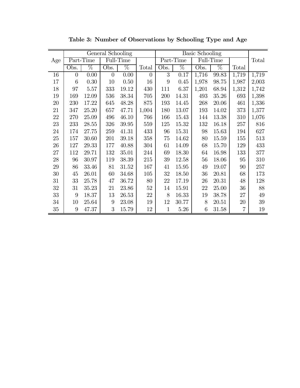|        |                |           | General Schooling |           |                |              |           | <b>Basic Schooling</b> |           |                |        |
|--------|----------------|-----------|-------------------|-----------|----------------|--------------|-----------|------------------------|-----------|----------------|--------|
| Age    |                | Part-Time |                   | Full-Time |                |              | Part-Time |                        | Full-Time |                | Total  |
|        | Obs.           | $\%$      | Obs.              | $\%$      | Total          | Obs.         | $\%$      | Obs.                   | $\%$      | Total          |        |
| 16     | $\overline{0}$ | 0.00      | $\overline{0}$    | 0.00      | $\overline{0}$ | 3            | 0.17      | 1,716                  | 99.83     | 1,719          | 1,719  |
| 17     | 6              | 0.30      | 10                | 0.50      | 16             | 9            | 0.45      | 1,978                  | 98.75     | 1,987          | 2,003  |
| 18     | 97             | 5.57      | 333               | 19.12     | 430            | 111          | 6.37      | 1,201                  | 68.94     | 1,312          | 1,742  |
| 19     | 169            | 12.09     | 536               | 38.34     | 705            | 200          | 14.31     | 493                    | 35.26     | 693            | 1,398  |
| 20     | 230            | 17.22     | 645               | 48.28     | 875            | 193          | 14.45     | 268                    | 20.06     | 461            | 1,336  |
| 21     | 347            | 25.20     | 657               | 47.71     | 1,004          | 180          | 13.07     | 193                    | 14.02     | 373            | 1,377  |
| 22     | 270            | 25.09     | 496               | 46.10     | 766            | 166          | 15.43     | 144                    | 13.38     | 310            | 1,076  |
| $23\,$ | 233            | 28.55     | 326               | $39.95\,$ | 559            | 125          | 15.32     | 132                    | 16.18     | 257            | 816    |
| 24     | 174            | 27.75     | 259               | 41.31     | 433            | 96           | 15.31     | 98                     | 15.63     | 194            | 627    |
| $25\,$ | 157            | 30.60     | 201               | 39.18     | 358            | 75           | 14.62     | 80                     | 15.59     | 155            | 513    |
| $26\,$ | 127            | 29.33     | 177               | 40.88     | 304            | 61           | 14.09     | 68                     | 15.70     | 129            | 433    |
| 27     | 112            | 29.71     | 132               | 35.01     | 244            | 69           | 18.30     | 64                     | 16.98     | 133            | 377    |
| $28\,$ | 96             | 30.97     | 119               | 38.39     | 215            | 39           | 12.58     | 56                     | 18.06     | 95             | 310    |
| 29     | 86             | 33.46     | 81                | 31.52     | 167            | 41           | 15.95     | 49                     | 19.07     | 90             | 257    |
| $30\,$ | 45             | 26.01     | 60                | 34.68     | 105            | 32           | 18.50     | 36                     | 20.81     | 68             | 173    |
| 31     | 33             | 25.78     | 47                | 36.72     | 80             | 22           | 17.19     | 26                     | 20.31     | 48             | 128    |
| $32\,$ | 31             | 35.23     | 21                | 23.86     | 52             | 14           | 15.91     | 22                     | 25.00     | 36             | 88     |
| $33\,$ | 9              | 18.37     | 13                | 26.53     | 22             | 8            | 16.33     | 19                     | 38.78     | 27             | 49     |
| $34\,$ | 10             | 25.64     | 9                 | 23.08     | 19             | 12           | 30.77     | 8                      | $20.51\,$ | 20             | $39\,$ |
| 35     | 9              | 47.37     | 3                 | 15.79     | 12             | $\mathbf{1}$ | 5.26      | 6                      | 31.58     | $\overline{7}$ | 19     |

Table 3: Number of Observations by Schooling Type and Age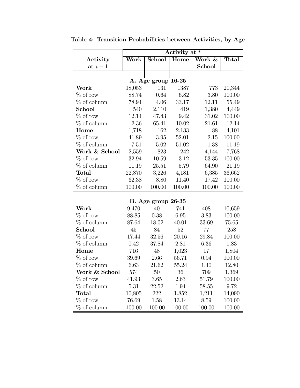|                |        | Activity at $t$    |        |               |              |  |  |  |  |  |
|----------------|--------|--------------------|--------|---------------|--------------|--|--|--|--|--|
| Activity       | Work   | School             | Home   | Work &        | <b>Total</b> |  |  |  |  |  |
| at $t-1$       |        |                    |        | <b>School</b> |              |  |  |  |  |  |
|                |        |                    |        |               |              |  |  |  |  |  |
|                |        | A. Age group 16-25 |        |               |              |  |  |  |  |  |
| Work           | 18,053 | 131                | 1387   | 773           | 20,344       |  |  |  |  |  |
| $\%$ of row    | 88.74  | 0.64               | 6.82   | 3.80          | 100.00       |  |  |  |  |  |
| $%$ of column  | 78.94  | 4.06               | 33.17  | 12.11         | 55.49        |  |  |  |  |  |
| School         | 540    | 2,110              | 419    | 1,380         | 4,449        |  |  |  |  |  |
| $\%$ of row    | 12.14  | 47.43              | 9.42   | 31.02         | 100.00       |  |  |  |  |  |
| $%$ of column  | 2.36   | 65.41              | 10.02  | 21.61         | 12.14        |  |  |  |  |  |
| Home           | 1,718  | 162                | 2,133  | 88            | 4,101        |  |  |  |  |  |
| $\%$ of row    | 41.89  | 3.95               | 52.01  | 2.15          | 100.00       |  |  |  |  |  |
| $%$ of column  | 7.51   | 5.02               | 51.02  | 1.38          | 11.19        |  |  |  |  |  |
| Work & School  | 2,559  | 823                | 242    | 4,144         | 7,768        |  |  |  |  |  |
| $\%$ of row    | 32.94  | 10.59              | 3.12   | 53.35         | 100.00       |  |  |  |  |  |
| $\%$ of column | 11.19  | 25.51              | 5.79   | 64.90         | 21.19        |  |  |  |  |  |
| <b>Total</b>   | 22,870 | 3,226              | 4,181  | 6,385         | 36,662       |  |  |  |  |  |
| $\%$ of row    | 62.38  | 8.80               | 11.40  | 17.42         | 100.00       |  |  |  |  |  |
| $\%$ of column | 100.00 | 100.00             | 100.00 | 100.00        | 100.00       |  |  |  |  |  |

Table 4: Transition Probabilities between Activities, by Age

|                |        | $B.$ Age group 26-35 |        |        |        |
|----------------|--------|----------------------|--------|--------|--------|
| Work           | 9,470  | 40                   | 741    | 408    | 10,659 |
| $\%$ of row    | 88.85  | 0.38                 | 6.95   | 3.83   | 100.00 |
| $%$ of column  | 87.64  | 18.02                | 40.01  | 33.69  | 75.65  |
| School         | 45     | 84                   | 52     | 77     | 258    |
| $\%$ of row    | 17.44  | 32.56                | 20.16  | 29.84  | 100.00 |
| $%$ of column  | 0.42   | 37.84                | 2.81   | 6.36   | 1.83   |
| Home           | 716    | 48                   | 1,023  | 17     | 1,804  |
| $\%$ of row    | 39.69  | 2.66                 | 56.71  | 0.94   | 100.00 |
| $\%$ of column | 6.63   | 21.62                | 55.24  | 1.40   | 12.80  |
| Work & School  | 574    | 50                   | 36     | 709    | 1,369  |
| $\%$ of row    | 41.93  | 3.65                 | 2.63   | 51.79  | 100.00 |
| $\%$ of column | 5.31   | 22.52                | 1.94   | 58.55  | 9.72   |
| <b>Total</b>   | 10,805 | 222                  | 1,852  | 1,211  | 14,090 |
| $\%$ of row    | 76.69  | 1.58                 | 13.14  | 8.59   | 100.00 |
| $%$ of column  | 100.00 | 100.00               | 100.00 | 100.00 | 100.00 |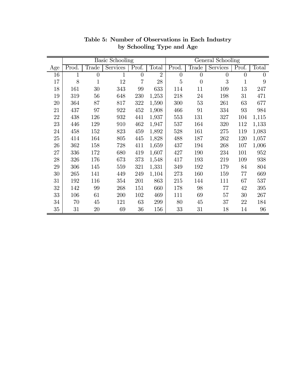|        |       |                | Basic Schooling |                |                |                |                | General Schooling |                |                |
|--------|-------|----------------|-----------------|----------------|----------------|----------------|----------------|-------------------|----------------|----------------|
| Age    | Prod. | Trade          | <b>Services</b> | Prof.          | Total          | Prod.          | Trade          | Services          | Prof.          | Total          |
| 16     | 1     | $\overline{0}$ | 1               | $\overline{0}$ | $\overline{2}$ | $\overline{0}$ | $\overline{0}$ | $\overline{0}$    | $\overline{0}$ | $\overline{0}$ |
| 17     | 8     | $\mathbf{1}$   | 12              | 7              | $28\,$         | $\overline{5}$ | $\overline{0}$ | 3                 | $\mathbf 1$    | 9              |
| 18     | 161   | 30             | 343             | 99             | 633            | 114            | 11             | 109               | 13             | 247            |
| 19     | 319   | 56             | 648             | 230            | 1,253          | 218            | 24             | 198               | 31             | 471            |
| 20     | 364   | 87             | 817             | 322            | 1,590          | 300            | $53\,$         | 261               | 63             | 677            |
| 21     | 437   | 97             | 922             | 452            | 1,908          | 466            | 91             | 334               | 93             | 984            |
| 22     | 438   | 126            | 932             | 441            | 1,937          | 553            | 131            | 327               | 104            | 1,115          |
| 23     | 446   | 129            | 910             | 462            | 1,947          | 537            | 164            | 320               | 112            | 1,133          |
| 24     | 458   | 152            | 823             | 459            | 1,892          | 528            | 161            | 275               | 119            | 1,083          |
| $25\,$ | 414   | 164            | 805             | 445            | 1,828          | 488            | 187            | 262               | 120            | 1,057          |
| $26\,$ | 362   | 158            | 728             | 411            | 1,659          | 437            | 194            | 268               | 107            | 1,006          |
| 27     | 336   | 172            | 680             | 419            | 1,607          | 427            | 190            | 234               | 101            | 952            |
| $28\,$ | 326   | 176            | 673             | 373            | 1,548          | 417            | 193            | 219               | 109            | 938            |
| 29     | 306   | 145            | 559             | 321            | 1,331          | 349            | 192            | 179               | 84             | 804            |
| 30     | 265   | 141            | 449             | 249            | 1,104          | 273            | 160            | 159               | 77             | 669            |
| 31     | 192   | 116            | 354             | 201            | 863            | 215            | 144            | 111               | 67             | 537            |
| $32\,$ | 142   | 99             | 268             | 151            | 660            | 178            | 98             | 77                | 42             | 395            |
| 33     | 106   | 61             | 200             | 102            | 469            | 111            | 69             | 57                | 30             | 267            |
| 34     | 70    | 45             | 121             | 63             | 299            | 80             | $45\,$         | 37                | 22             | 184            |
| 35     | 31    | 20             | 69              | 36             | 156            | 33             | 31             | 18                | 14             | 96             |

Table 5: Number of Observations in Each Industry by Schooling Type and Age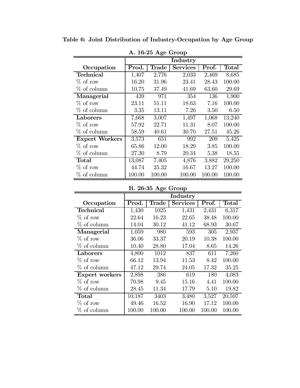| A. 10-20 Age Group    |        |        |                 |        |              |  |  |  |  |
|-----------------------|--------|--------|-----------------|--------|--------------|--|--|--|--|
|                       |        |        | Industry        |        |              |  |  |  |  |
| Occupation            | Prod.  | Trade  | <b>Services</b> | Prof.  | <b>Total</b> |  |  |  |  |
| <b>Technical</b>      | 1,407  | 2,776  | 2,033           | 2,469  | 8,685        |  |  |  |  |
| $\%$ of row           | 16.20  | 31.96  | 23.41           | 28.43  | 100.00       |  |  |  |  |
| $%$ of column         | 10.75  | 37.49  | 41.69           | 63.60  | 29.69        |  |  |  |  |
| Managerial            | 439    | 971    | 354             | 136    | 1,900        |  |  |  |  |
| $\%$ of row           | 23.11  | 51.11  | 18.63           | 7.16   | 100.00       |  |  |  |  |
| $%$ of column         | 3.35   | 13.11  | 7.26            | 3.50   | 6.50         |  |  |  |  |
| Laborers              | 7,668  | 3,007  | 1,497           | 1,068  | 13,240       |  |  |  |  |
| $\%$ of row           | 57.92  | 22.71  | 11.31           | 8.07   | 100.00       |  |  |  |  |
| $%$ of column         | 58.59  | 40.61  | 30.70           | 27.51  | 45.26        |  |  |  |  |
| <b>Expert Workers</b> | 3,573  | 651    | 992             | 209    | 5,425        |  |  |  |  |
| $\%$ of row           | 65.86  | 12.00  | 18.29           | 3.85   | 100.00       |  |  |  |  |
| $%$ of column         | 27.30  | 8.79   | 20.34           | 5.38   | 18.55        |  |  |  |  |
| <b>Total</b>          | 13,087 | 7,405  | 4,876           | 3,882  | 29,250       |  |  |  |  |
| $\%$ of row           | 44.74  | 25.32  | 16.67           | 13.27  | 100.00       |  |  |  |  |
| $\%$ of column        | 100.00 | 100.00 | 100.00          | 100.00 | 100.00       |  |  |  |  |

Table 6: Joint Distribution of Industry-Occupation by Age Group

 $A$  16-25 Age Group

B. 26-35 Age Group

|                |        |        | Industry        |        |              |
|----------------|--------|--------|-----------------|--------|--------------|
| Occupation     | Prod.  | Trade  | <b>Services</b> | Prof.  | <b>Total</b> |
| Technical      | 1,430  | 1025   | 1,431           | 2,431  | 6,317        |
| $%$ of row     | 22.64  | 16.23  | 22.65           | 38.48  | 100.00       |
| $%$ of column  | 14.04  | 30.12  | 41.12           | 68.93  | 30.67        |
| Managerial     | 1,059  | 980    | 593             | 305    | 2,937        |
| $%$ of row     | 36.06  | 33.37  | 20.19           | 10.38  | 100.00       |
| $%$ of column  | 10.40  | 28.80  | 17.04           | 8.65   | 14.26        |
| Laborers       | 4,800  | 1012   | 837             | 611    | 7,260        |
| $%$ of row     | 66.12  | 13.94  | 11.53           | 8.42   | 100.00       |
| $%$ of column  | 47.12  | 29.74  | 24.05           | 17.32  | 35.25        |
| Expert workers | 2,898  | 386    | 619             | 180    | 4,083        |
| $%$ of row     | 70.98  | 9.45   | 15.16           | 4.41   | 100.00       |
| $%$ of column  | 28.45  | 11.34  | 17.79           | 5.10   | 19.82        |
| <b>Total</b>   | 10,187 | 3403   | 3,480           | 3,527  | 20,597       |
| $%$ of row     | 49.46  | 16.52  | 16.90           | 17.12  | 100.00       |
| $%$ of column  | 100.00 | 100.00 | 100.00          | 100.00 | 100.00       |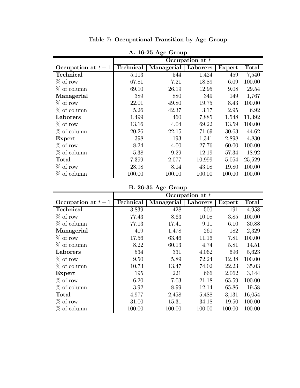| $A$ . 10-40 $A_{\rm sc}$ uroup |                  |            |                   |        |        |  |  |  |  |
|--------------------------------|------------------|------------|-------------------|--------|--------|--|--|--|--|
|                                |                  |            | Occupation at $t$ |        |        |  |  |  |  |
| Occupation at $t-1$            | <b>Technical</b> | Managerial | Laborers          | Expert | Total  |  |  |  |  |
| <b>Technical</b>               | 5,113            | 544        | 1,424             | 459    | 7,540  |  |  |  |  |
| $\%$ of row                    | 67.81            | 7.21       | 18.89             | 6.09   | 100.00 |  |  |  |  |
| $%$ of column                  | 69.10            | 26.19      | 12.95             | 9.08   | 29.54  |  |  |  |  |
| Managerial                     | 389              | 880        | 349               | 149    | 1,767  |  |  |  |  |
| $\%$ of row                    | 22.01            | 49.80      | 19.75             | 8.43   | 100.00 |  |  |  |  |
| $%$ of column                  | 5.26             | 42.37      | 3.17              | 2.95   | 6.92   |  |  |  |  |
| Laborers                       | 1,499            | 460        | 7,885             | 1,548  | 11,392 |  |  |  |  |
| $\%$ of row                    | 13.16            | 4.04       | 69.22             | 13.59  | 100.00 |  |  |  |  |
| $%$ of column                  | 20.26            | 22.15      | 71.69             | 30.63  | 44.62  |  |  |  |  |
| Expert                         | 398              | 193        | 1,341             | 2,898  | 4,830  |  |  |  |  |
| $%$ of row                     | 8.24             | 4.00       | 27.76             | 60.00  | 100.00 |  |  |  |  |
| $%$ of column                  | 5.38             | 9.29       | 12.19             | 57.34  | 18.92  |  |  |  |  |
| Total                          | 7,399            | 2,077      | 10,999            | 5,054  | 25,529 |  |  |  |  |
| $\%$ of row                    | 28.98            | 8.14       | 43.08             | 19.80  | 100.00 |  |  |  |  |
| $%$ of column                  | 100.00           | 100.00     | 100.00            | 100.00 | 100.00 |  |  |  |  |

Table 7: Occupational Transition by Age Group

 $A$  16-25 Age Group

# B. 26-35 Age Group

|                     |                  |            | Occupation at $t$ |        |              |
|---------------------|------------------|------------|-------------------|--------|--------------|
| Occupation at $t-1$ | <b>Technical</b> | Managerial | Laborers          | Expert | <b>Total</b> |
| <b>Technical</b>    | 3,839            | 428        | 500               | 191    | 4,958        |
| $\%$ of row         | 77.43            | 8.63       | 10.08             | 3.85   | 100.00       |
| $%$ of column       | 77.13            | 17.41      | 9.11              | 6.10   | 30.88        |
| Managerial          | 409              | 1,478      | 260               | 182    | 2,329        |
| $\%$ of row         | 17.56            | 63.46      | 11.16             | 7.81   | 100.00       |
| $%$ of column       | 8.22             | 60.13      | 4.74              | 5.81   | 14.51        |
| Laborers            | 534              | 331        | 4,062             | 696    | 5,623        |
| $\%$ of row         | 9.50             | 5.89       | 72.24             | 12.38  | 100.00       |
| $%$ of column       | 10.73            | 13.47      | 74.02             | 22.23  | 35.03        |
| Expert              | 195              | 221        | 666               | 2,062  | 3,144        |
| $\%$ of row         | 6.20             | 7.03       | 21.18             | 65.59  | 100.00       |
| $%$ of column       | 3.92             | 8.99       | 12.14             | 65.86  | 19.58        |
| $\rm Total$         | 4,977            | 2,458      | 5,488             | 3,131  | 16,054       |
| $\%$ of row         | 31.00            | 15.31      | 34.18             | 19.50  | 100.00       |
| $%$ of column       | 100.00           | 100.00     | 100.00            | 100.00 | 100.00       |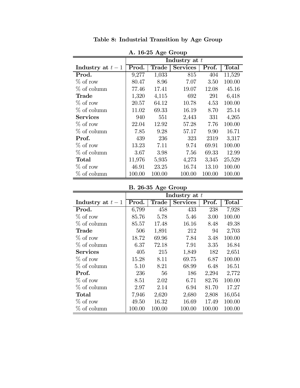| $A$ . 10-40 $A_{\rm sc}$ uroup |        |        |                 |        |        |  |  |  |  |
|--------------------------------|--------|--------|-----------------|--------|--------|--|--|--|--|
|                                |        |        | Industry at $t$ |        |        |  |  |  |  |
| Industry at $t-1$              | Prod.  | Trade  | <b>Services</b> | Prof.  | Total  |  |  |  |  |
| Prod.                          | 9,277  | 1,033  | 815             | 404    | 11,529 |  |  |  |  |
| $\%$ of row                    | 80.47  | 8.96   | 7.07            | 3.50   | 100.00 |  |  |  |  |
| $%$ of column                  | 77.46  | 17.41  | 19.07           | 12.08  | 45.16  |  |  |  |  |
| Trade                          | 1,320  | 4,115  | 692             | 291    | 6,418  |  |  |  |  |
| $\%$ of row                    | 20.57  | 64.12  | 10.78           | 4.53   | 100.00 |  |  |  |  |
| $%$ of column                  | 11.02  | 69.33  | 16.19           | 8.70   | 25.14  |  |  |  |  |
| <b>Services</b>                | 940    | 551    | 2,443           | 331    | 4,265  |  |  |  |  |
| $\%$ of row                    | 22.04  | 12.92  | 57.28           | 7.76   | 100.00 |  |  |  |  |
| $%$ of column                  | 7.85   | 9.28   | 57.17           | 9.90   | 16.71  |  |  |  |  |
| Prof.                          | 439    | 236    | 323             | 2319   | 3,317  |  |  |  |  |
| $\%$ of row                    | 13.23  | 7.11   | 9.74            | 69.91  | 100.00 |  |  |  |  |
| $%$ of column                  | 3.67   | 3.98   | 7.56            | 69.33  | 12.99  |  |  |  |  |
| Total                          | 11,976 | 5,935  | 4,273           | 3,345  | 25,529 |  |  |  |  |
| $\%$ of row                    | 46.91  | 23.25  | 16.74           | 13.10  | 100.00 |  |  |  |  |
| $%$ of column                  | 100.00 | 100.00 | 100.00          | 100.00 | 100.00 |  |  |  |  |

Table 8: Industrial Transition by Age Group

A. 16-25 Age Group

# B. 26-35 Age Group

|                   |        | Industry at $t$ |                 |        |             |  |  |  |  |  |  |
|-------------------|--------|-----------------|-----------------|--------|-------------|--|--|--|--|--|--|
| Industry at $t-1$ | Prod.  | Trade           | <b>Services</b> | Prof.  | $\rm Total$ |  |  |  |  |  |  |
| Prod.             | 6,799  | 458             | 433             | 238    | 7,928       |  |  |  |  |  |  |
| $\%$ of row       | 85.76  | 5.78            | 5.46            | 3.00   | 100.00      |  |  |  |  |  |  |
| $\%$ of column    | 85.57  | 17.48           | 16.16           | 8.48   | 49.38       |  |  |  |  |  |  |
| Trade             | 506    | 1,891           | 212             | 94     | 2,703       |  |  |  |  |  |  |
| $\%$ of row       | 18.72  | 69.96           | 7.84            | 3.48   | 100.00      |  |  |  |  |  |  |
| $\%$ of column    | 6.37   | 72.18           | 7.91            | 3.35   | 16.84       |  |  |  |  |  |  |
| <b>Services</b>   | 405    | 215             | 1,849           | 182    | 2,651       |  |  |  |  |  |  |
| $\%$ of row       | 15.28  | 8.11            | 69.75           | 6.87   | 100.00      |  |  |  |  |  |  |
| $\%$ of column    | 5.10   | 8.21            | 68.99           | 6.48   | 16.51       |  |  |  |  |  |  |
| Prof.             | 236    | 56              | 186             | 2,294  | 2,772       |  |  |  |  |  |  |
| $\%$ of row       | 8.51   | 2.02            | 6.71            | 82.76  | 100.00      |  |  |  |  |  |  |
| $\%$ of column    | 2.97   | 2.14            | 6.94            | 81.70  | 17.27       |  |  |  |  |  |  |
| Total             | 7,946  | 2,620           | 2,680           | 2,808  | 16,054      |  |  |  |  |  |  |
| $\%$ of row       | 49.50  | 16.32           | 16.69           | 17.49  | 100.00      |  |  |  |  |  |  |
| $\%$ of column    | 100.00 | 100.00          | 100.00          | 100.00 | 100.00      |  |  |  |  |  |  |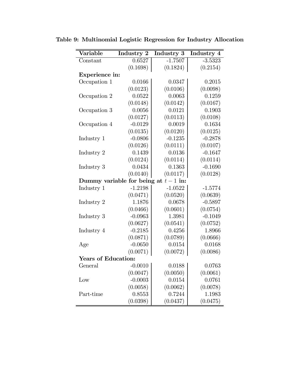| Variable                   | Industry 2                            | Industry 3 | Industry 4 |  |  |  |  |  |  |
|----------------------------|---------------------------------------|------------|------------|--|--|--|--|--|--|
| Constant                   | 0.6527                                | $-1.7507$  | $-3.5323$  |  |  |  |  |  |  |
|                            | (0.1698)                              | (0.1824)   | (0.2154)   |  |  |  |  |  |  |
| Experience in:             |                                       |            |            |  |  |  |  |  |  |
| Occupation 1               | 0.0166                                | 0.0347     | 0.2015     |  |  |  |  |  |  |
|                            | (0.0123)                              | (0.0106)   | (0.0098)   |  |  |  |  |  |  |
| Occupation 2               | 0.0522                                | 0.0063     | 0.1259     |  |  |  |  |  |  |
|                            | (0.0148)                              | (0.0142)   | (0.0167)   |  |  |  |  |  |  |
| Occupation 3               | 0.0056                                | 0.0121     | 0.1903     |  |  |  |  |  |  |
|                            | (0.0127)                              | (0.0113)   | (0.0108)   |  |  |  |  |  |  |
| Occupation 4               | $-0.0129$                             | 0.0019     | 0.1634     |  |  |  |  |  |  |
|                            | (0.0135)                              | (0.0120)   | (0.0125)   |  |  |  |  |  |  |
| Industry 1                 | $-0.0806$                             | $-0.1235$  | $-0.2878$  |  |  |  |  |  |  |
|                            | (0.0126)                              | (0.0111)   | (0.0107)   |  |  |  |  |  |  |
| Industry 2                 | 0.1439                                | 0.0136     | $-0.1647$  |  |  |  |  |  |  |
|                            | (0.0124)                              | (0.0114)   | (0.0114)   |  |  |  |  |  |  |
| Industry 3                 | 0.0434                                | 0.1363     | $-0.1690$  |  |  |  |  |  |  |
|                            | (0.0140)                              | (0.0117)   | (0.0128)   |  |  |  |  |  |  |
|                            | Dummy variable for being at $t-1$ in: |            |            |  |  |  |  |  |  |
| Industry 1                 | $-1.2198$                             | $-1.0522$  | $-1.5774$  |  |  |  |  |  |  |
|                            | (0.0471)                              | (0.0520)   | (0.0639)   |  |  |  |  |  |  |
| Industry 2                 | 1.1876                                | 0.0678     | $-0.5897$  |  |  |  |  |  |  |
|                            | (0.0466)                              | (0.0601)   | (0.0754)   |  |  |  |  |  |  |
| Industry 3                 | $-0.0963$                             | 1.3981     | $-0.1049$  |  |  |  |  |  |  |
|                            | (0.0627)                              | (0.0541)   | (0.0752)   |  |  |  |  |  |  |
| Industry 4                 | $-0.2185$                             | 0.4256     | 1.8966     |  |  |  |  |  |  |
|                            | (0.0871)                              | (0.0789)   | (0.0666)   |  |  |  |  |  |  |
| Age                        | $-0.0650$                             | 0.0154     | 0.0168     |  |  |  |  |  |  |
|                            | (0.0071)                              | (0.0072)   | (0.0086)   |  |  |  |  |  |  |
| <b>Years of Education:</b> |                                       |            |            |  |  |  |  |  |  |
| General                    | $-0.0010$                             | 0.0188     | 0.0763     |  |  |  |  |  |  |
|                            | (0.0047)                              | (0.0050)   | (0.0061)   |  |  |  |  |  |  |
| Low                        | $-0.0003$                             | 0.0154     | 0.0761     |  |  |  |  |  |  |
|                            | (0.0058)                              | (0.0062)   | (0.0078)   |  |  |  |  |  |  |
| Part-time                  | 0.8553                                | 0.7244     | 1.1983     |  |  |  |  |  |  |
|                            | (0.0398)                              | (0.0437)   | (0.0475)   |  |  |  |  |  |  |

Table 9: Multinomial Logistic Regression for Industry Allocation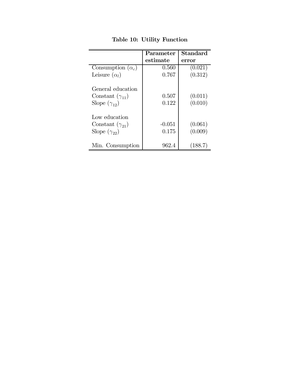|                          | Parameter | <b>Standard</b> |
|--------------------------|-----------|-----------------|
|                          | estimate  | error           |
| Consumption $(\alpha_c)$ | 0.560     | (0.021)         |
| Leisure $(\alpha_l)$     | 0.767     | (0.312)         |
| General education        |           |                 |
| Constant $(\gamma_{11})$ | 0.507     | (0.011)         |
| Slope $(\gamma_{12})$    | 0.122     | (0.010)         |
| Low education            |           |                 |
| Constant $(\gamma_{21})$ | $-0.051$  | (0.061)         |
| Slope $(\gamma_{22})$    | 0.175     | (0.009)         |
| Min. Consumption         | 962.4     | (188.7)         |

Table 10: Utility Function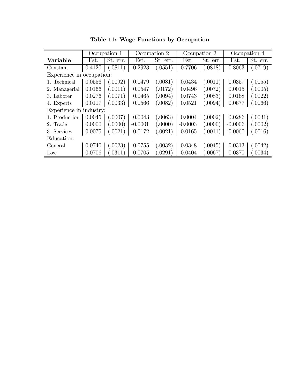|                           | Occupation 1 |          | Occupation 2 |          | Occupation 3 |          | Occupation $\overline{4}$ |          |
|---------------------------|--------------|----------|--------------|----------|--------------|----------|---------------------------|----------|
| Variable                  | Est.         | St. err. | Est.         | St. err. | Est.         | St. err. | Est.                      | St. err. |
| Constant                  | 0.4120       | (.0811)  | 0.2923       | 0.0551)  | 0.7706       | (.0818)  | 0.8063                    | (.0719)  |
| Experience in occupation: |              |          |              |          |              |          |                           |          |
| 1. Technical              | 0.0556       | (.0092)  | 0.0479       | 0.0081)  | 0.0434       | (.0011)  | 0.0357                    | 0.0055)  |
| 2. Managerial             | 0.0166       | (.0011)  | 0.0547       | .0172)   | 0.0496       | (.0072)  | 0.0015                    | 0.0005)  |
| 3. Laborer                | 0.0276       | (.0071)  | 0.0465       | 0.0094)  | 0.0743       | (.0083)  | 0.0168                    | (.0022)  |
| 4. Experts                | 0.0117       | (.0033)  | 0.0566       | 0.0082)  | 0.0521       | 0.0094)  | 0.0677                    | 0066     |
| Experience in industry:   |              |          |              |          |              |          |                           |          |
| 1. Production             | 0.0045       | (.0007)  | 0.0043       | (.0063)  | 0.0004       | (.0002)  | 0.0286                    | (.0031)  |
| 2. Trade                  | 0.0000       | (0000)   | $-0.0001$    | 0000     | $-0.0003$    | (.0000)  | $-0.0006$                 | .0002)   |
| 3. Services               | 0.0075       | (.0021)  | 0.0172       | .0021)   | $-0.0165$    | (.0011)  | $-0.0060$                 | (.0016)  |
| Education:                |              |          |              |          |              |          |                           |          |
| General                   | 0.0740       | (.0023)  | 0.0755       | 0032)    | 0.0348       | (.0045)  | 0.0313                    | (.0042)  |
| $_{\text{Low}}$           | 0.0706       | (0311)   | 0.0705       | .0291)   | 0.0404       | 0067     | 0.0370                    | 0.0034)  |

Table 11: Wage Functions by Occupation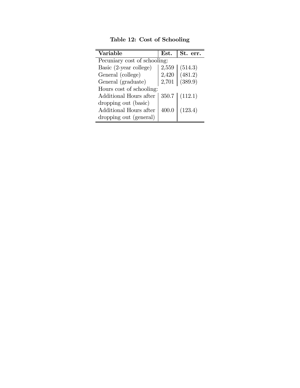| <b>Variable</b>              | Est.  | St. err. |  |  |  |  |  |
|------------------------------|-------|----------|--|--|--|--|--|
| Pecuniary cost of schooling: |       |          |  |  |  |  |  |
| Basic (2-year college)       | 2,559 | (514.3)  |  |  |  |  |  |
| General (college)            | 2,420 | (481.2)  |  |  |  |  |  |
| General (graduate)           | 2,701 | (389.9)  |  |  |  |  |  |
| Hours cost of schooling:     |       |          |  |  |  |  |  |
| Additional Hours after       | 350.7 | (112.1)  |  |  |  |  |  |
| dropping out (basic)         |       |          |  |  |  |  |  |
| Additional Hours after       | 400.0 | (123.4)  |  |  |  |  |  |
| dropping out (general)       |       |          |  |  |  |  |  |

Table 12: Cost of Schooling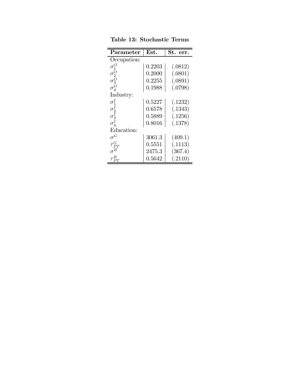| Parameter                                    | Est.   | St.<br>err. |
|----------------------------------------------|--------|-------------|
| Occupation:                                  |        |             |
| $\sigma_1^O$                                 | 0.2203 | (.0812)     |
|                                              | 0.2000 | (.0801)     |
|                                              | 0.2255 | (.0891)     |
| $\sigma_2^O$<br>$\sigma_3^O$<br>$\sigma_4^O$ | 0.1988 | (.0798)     |
| Industry:                                    |        |             |
| $\sigma_1^I$                                 | 0.5227 | (.1232)     |
| $\sigma_2^{\prime}$                          | 0.6578 | (.1343)     |
|                                              | 0.5889 | (.1256)     |
| $\sigma_3^I \ \sigma_4^I$                    | 0.8016 | (.1378)     |
| Education:                                   |        |             |
| $\sigma^G$                                   | 3061.3 | (409.1)     |
| $\tau_{PT}^G$                                | 0.5551 | (.1113)     |
|                                              | 2475.3 | (367.4)     |
| $\tau^.$                                     | 0.5642 | (.2110)     |

Table 13: Stochastic Terms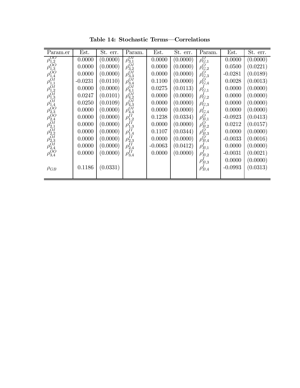| Param.er                                                                                                                                                                                                                                                                                | Est.      | $\overline{St}$ . err. | Param.                                                                                          | Est.      | St. err. | Param.                | Est.      | $\overline{S}t.$ err. |
|-----------------------------------------------------------------------------------------------------------------------------------------------------------------------------------------------------------------------------------------------------------------------------------------|-----------|------------------------|-------------------------------------------------------------------------------------------------|-----------|----------|-----------------------|-----------|-----------------------|
| $\rho_{1,2}^{OO}$                                                                                                                                                                                                                                                                       | 0.0000    | (0.0000)               | $\rho_{3,1}^{OI}$                                                                               | 0.0000    | (0.0000) | $\rho_{G,1}^O$        | 0.0000    | (0.0000)              |
| $\rho_{1,3}^{\vec{O}O} \ \rho_{1,4}^{\vec{O}O}$                                                                                                                                                                                                                                         | 0.0000    | (0.0000)               | $\rho_{3,2}^{\vec{O}I}$                                                                         | 0.0000    | (0.0000) | $\rho_{G,2}^O$        | 0.0500    | (0.0221)              |
|                                                                                                                                                                                                                                                                                         | 0.0000    | (0.0000)               |                                                                                                 | 0.0000    | (0.0000) | $\rho_{G,3}^O$        | $-0.0281$ | (0.0189)              |
| $\rho_{1,1}^{\vec{O}I}$                                                                                                                                                                                                                                                                 | $-0.0231$ | (0.0110)               | $\rho_{3,3}^{\tilde{O}\tilde{I}} \rho_{3,4}^{\tilde{O}\tilde{I}}$                               | 0.1100    | (0.0000) | $\rho_{G,4}^O$        | 0.0028    | (0.0013)              |
| $\rho_{1,2}^{O_I}$ $\rho_{1,3}^{O_I}$ $\rho_{2,0}^{O_{I,3}O_{I,4}^{O_{I,3}O_{I,4}^{O_{I,3}O_{I,4}^{O_{I,3}O_{I,4}^{O_{I,3}O_{I,4}^{O_{I,3}O_{I,4}^{O_{I,3}O_{I,4}^{O_{I,3}O_{I,4}^{O_{I,3}O_{I,4}^{O_{I,3}O_{I,4}^{O_{I,3}O_{I,4}^{O_{I,3}O_{I,4}^{O_{I,3}O_{I,4}^{O_{I,3}O_{I,4}^{O_{$ | 0.0000    | (0.0000)               | $\rho_{4,1}^{\vec{O}I} \ \rho_{4,2}^{\vec{O}I} \ \rho_{4,3}^{\vec{O}I} \ \rho_{4,4}^{\vec{O}I}$ | 0.0275    | (0.0113) | $\rho_{G,1}^{\prime}$ | 0.0000    | (0.0000)              |
|                                                                                                                                                                                                                                                                                         | 0.0247    | (0.0101)               |                                                                                                 | 0.0000    | (0.0000) | $\rho_{G,2}^{\prime}$ | 0.0000    | (0.0000)              |
|                                                                                                                                                                                                                                                                                         | 0.0250    | (0.0109)               |                                                                                                 | 0.0000    | (0.0000) | $\rho_{G,3}^{\prime}$ | 0.0000    | (0.0000)              |
|                                                                                                                                                                                                                                                                                         | 0.0000    | (0.0000)               |                                                                                                 | 0.0000    | (0.0000) | $\rho_{G,4}^{\prime}$ | 0.0000    | (0.0000)              |
|                                                                                                                                                                                                                                                                                         | 0.0000    | (0.0000)               | $\rho_{1,2}^{I\bar I}$                                                                          | 0.1238    | (0.0334) | $\rho_{B,1}^O$        | $-0.0923$ | (0.0413)              |
|                                                                                                                                                                                                                                                                                         | 0.0000    | (0.0000)               | $\rho_{1,3}^{II}$                                                                               | 0.0000    | (0.0000) | $\rho_{B,2}^O$        | 0.0212    | (0.0157)              |
|                                                                                                                                                                                                                                                                                         | 0.0000    | (0.0000)               | $\rho_{1,4}^{I\bar I}$                                                                          | 0.1107    | (0.0344) | $\rho_{B,3}^O$        | 0.0000    | (0.0000)              |
|                                                                                                                                                                                                                                                                                         | 0.0000    | (0.0000)               | $\rho^{I\overline{I}}_{2,3}$                                                                    | 0.0000    | (0.0000) | $\rho_{B,4}^{O^{'} }$ | $-0.0033$ | (0.0016)              |
|                                                                                                                                                                                                                                                                                         | 0.0000    | (0.0000)               | $\rho_{2,4}^{II} \ \rho_{3,4}^{II}$                                                             | $-0.0063$ | (0.0412) | $\rho'_{B,1}$         | 0.0000    | (0.0000)              |
|                                                                                                                                                                                                                                                                                         | 0.0000    | (0.0000)               |                                                                                                 | 0.0000    | (0.0000) | $\rho_{B,2}^{\prime}$ | $-0.0031$ | (0.0021)              |
|                                                                                                                                                                                                                                                                                         |           |                        |                                                                                                 |           |          | $\rho_{B,3}^{\prime}$ | 0.0000    | (0.0000)              |
| $\rho_{GB}$                                                                                                                                                                                                                                                                             | 0.1186    | (0.0331)               |                                                                                                 |           |          | $\rho_{B,4}^{\prime}$ | $-0.0993$ | (0.0313)              |
|                                                                                                                                                                                                                                                                                         |           |                        |                                                                                                 |           |          |                       |           |                       |

Table 14: Stochastic Terms–Correlations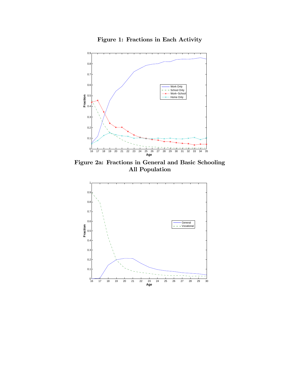



Figure 2a: Fractions in General and Basic Schooling All Population

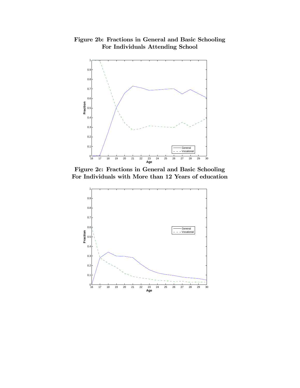Figure 2b: Fractions in General and Basic Schooling For Individuals Attending School



Figure 2c: Fractions in General and Basic Schooling For Individuals with More than 12 Years of education

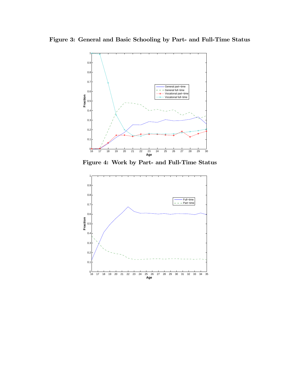Figure 3: General and Basic Schooling by Part- and Full-Time Status



Figure 4: Work by Part- and Full-Time Status

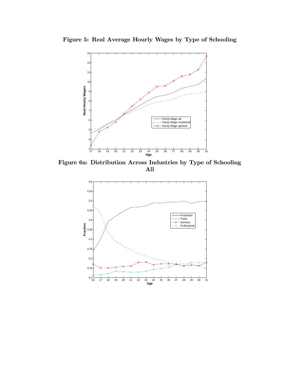

Figure 5: Real Average Hourly Wages by Type of Schooling

Figure 6a: Distribution Across Industries by Type of Schooling All

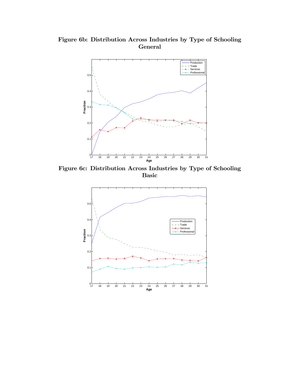Figure 6b: Distribution Across Industries by Type of Schooling General



Figure 6c: Distribution Across Industries by Type of Schooling Basic

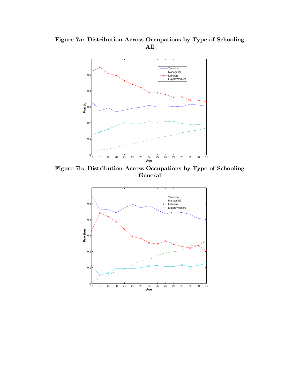Figure 7a: Distribution Across Occupations by Type of Schooling All



Figure 7b: Distribution Across Occupations by Type of Schooling General

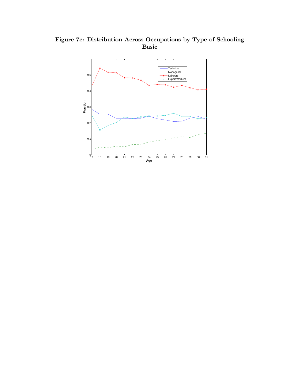

Figure 7c: Distribution Across Occupations by Type of Schooling Basic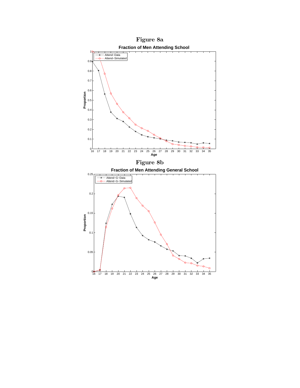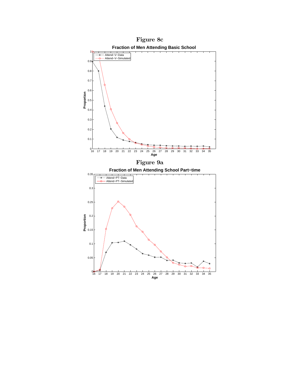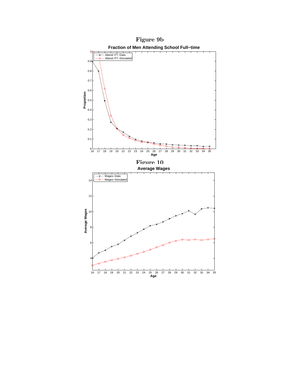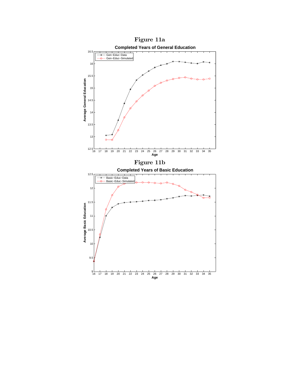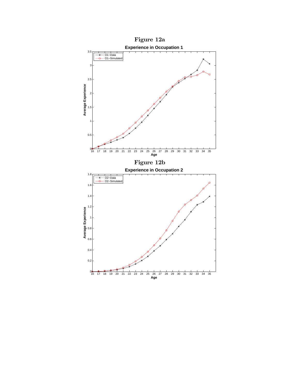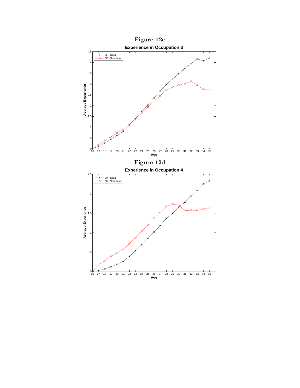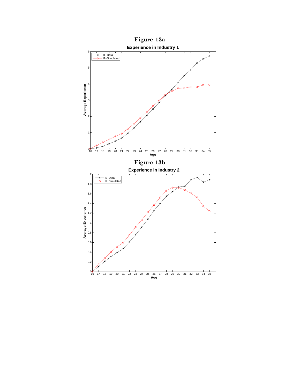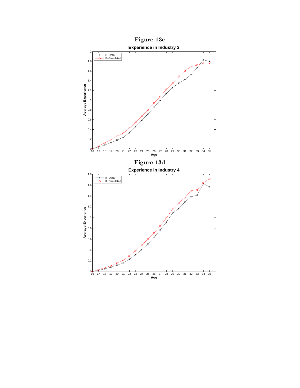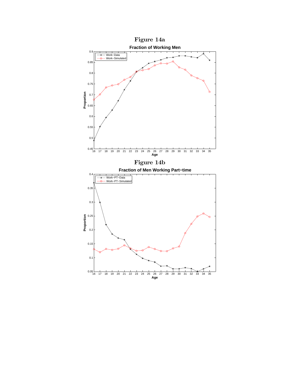